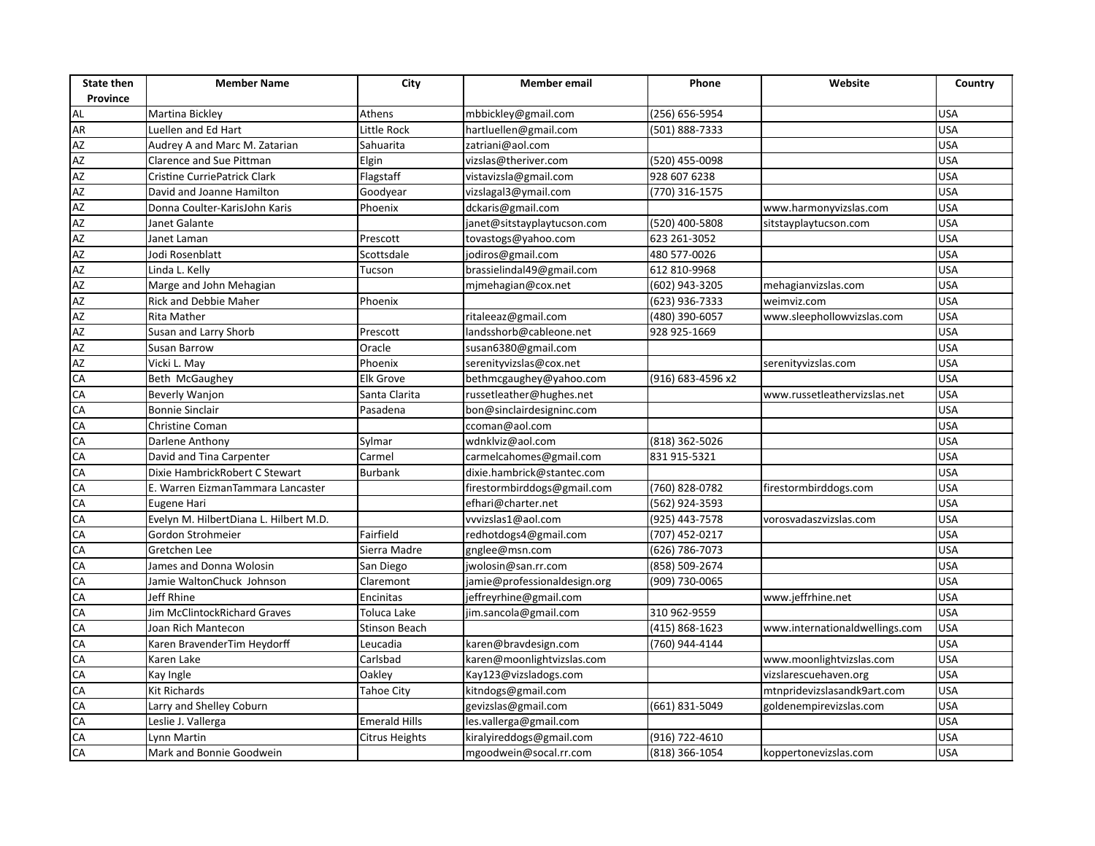| <b>State then</b><br>Province | <b>Member Name</b>                     | City                  | Member email                 | Phone             | Website                        | Country    |
|-------------------------------|----------------------------------------|-----------------------|------------------------------|-------------------|--------------------------------|------------|
| AL                            |                                        | Athens                | mbbickley@gmail.com          | (256) 656-5954    |                                | <b>USA</b> |
| <b>AR</b>                     | Martina Bickley<br>Luellen and Ed Hart | Little Rock           | hartluellen@gmail.com        | (501) 888-7333    |                                | <b>USA</b> |
|                               | Audrey A and Marc M. Zatarian          | Sahuarita             | zatriani@aol.com             |                   |                                | <b>USA</b> |
| AZ<br>AZ<br>AZ<br>AZ          | Clarence and Sue Pittman               | Elgin                 | vizslas@theriver.com         | (520) 455-0098    |                                | <b>USA</b> |
|                               | Cristine CurriePatrick Clark           | Flagstaff             | vistavizsla@gmail.com        | 928 607 6238      |                                | <b>USA</b> |
|                               | David and Joanne Hamilton              | Goodyear              | vizslagal3@ymail.com         | (770) 316-1575    |                                | <b>USA</b> |
| <b>AZ</b>                     | Donna Coulter-KarisJohn Karis          | Phoenix               | dckaris@gmail.com            |                   | www.harmonyvizslas.com         | <b>USA</b> |
|                               | Janet Galante                          |                       | janet@sitstayplaytucson.com  | (520) 400-5808    | sitstayplaytucson.com          | <b>USA</b> |
| AZ<br>AZ                      | Janet Laman                            | Prescott              | tovastogs@yahoo.com          | 623 261-3052      |                                | <b>USA</b> |
| AZ                            |                                        |                       |                              | 480 577-0026      |                                | <b>USA</b> |
| AZ                            | Jodi Rosenblatt                        | Scottsdale            | jodiros@gmail.com            | 612 810-9968      |                                | <b>USA</b> |
|                               | Linda L. Kelly                         | Tucson                | brassielindal49@gmail.com    |                   |                                | <b>USA</b> |
|                               | Marge and John Mehagian                |                       | mjmehagian@cox.net           | (602) 943-3205    | mehagianvizslas.com            | <b>USA</b> |
|                               | Rick and Debbie Maher                  | Phoenix               |                              | (623) 936-7333    | weimviz.com                    |            |
| AZ<br>AZ<br>AZ<br>AZ<br>AZ    | Rita Mather                            |                       | ritaleeaz@gmail.com          | (480) 390-6057    | www.sleephollowvizslas.com     | <b>USA</b> |
|                               | Susan and Larry Shorb                  | Prescott              | landsshorb@cableone.net      | 928 925-1669      |                                | <b>USA</b> |
|                               | Susan Barrow                           | Oracle                | susan6380@gmail.com          |                   |                                | <b>USA</b> |
| AZ<br>CA                      | Vicki L. May                           | Phoenix               | serenityvizslas@cox.net      |                   | serenityvizslas.com            | <b>USA</b> |
|                               | Beth McGaughey                         | <b>Elk Grove</b>      | bethmcgaughey@yahoo.com      | (916) 683-4596 x2 |                                | <b>USA</b> |
| $\frac{CA}{CA}$               | Beverly Wanjon                         | Santa Clarita         | russetleather@hughes.net     |                   | www.russetleathervizslas.net   | <b>USA</b> |
|                               | <b>Bonnie Sinclair</b>                 | Pasadena              | bon@sinclairdesigninc.com    |                   |                                | <b>USA</b> |
| CA                            | Christine Coman                        |                       | ccoman@aol.com               |                   |                                | <b>USA</b> |
| CA                            | Darlene Anthony                        | Sylmar                | wdnklviz@aol.com             | (818) 362-5026    |                                | <b>USA</b> |
| CA                            | David and Tina Carpenter               | Carmel                | carmelcahomes@gmail.com      | 831 915-5321      |                                | <b>USA</b> |
| CA                            | Dixie HambrickRobert C Stewart         | <b>Burbank</b>        | dixie.hambrick@stantec.com   |                   |                                | <b>USA</b> |
| CA                            | E. Warren EizmanTammara Lancaster      |                       | firestormbirddogs@gmail.com  | (760) 828-0782    | firestormbirddogs.com          | <b>USA</b> |
| CA                            | Eugene Hari                            |                       | efhari@charter.net           | (562) 924-3593    |                                | <b>USA</b> |
| CA                            | Evelyn M. HilbertDiana L. Hilbert M.D. |                       | vvvizslas1@aol.com           | (925) 443-7578    | vorosvadaszvizslas.com         | <b>USA</b> |
| CA<br>CA                      | Gordon Strohmeier                      | Fairfield             | redhotdogs4@gmail.com        | (707) 452-0217    |                                | <b>USA</b> |
|                               | Gretchen Lee                           | Sierra Madre          | gnglee@msn.com               | (626) 786-7073    |                                | <b>USA</b> |
| CA                            | James and Donna Wolosin                | San Diego             | jwolosin@san.rr.com          | (858) 509-2674    |                                | <b>USA</b> |
| CA                            | Jamie WaltonChuck Johnson              | Claremont             | jamie@professionaldesign.org | (909) 730-0065    |                                | <b>USA</b> |
| CA                            | Jeff Rhine                             | Encinitas             | jeffreyrhine@gmail.com       |                   | www.jeffrhine.net              | <b>USA</b> |
| CA                            | Jim McClintockRichard Graves           | Toluca Lake           | jim.sancola@gmail.com        | 310 962-9559      |                                | <b>USA</b> |
| CA                            | Joan Rich Mantecon                     | <b>Stinson Beach</b>  |                              | (415) 868-1623    | www.internationaldwellings.com | <b>USA</b> |
| CA                            | Karen BravenderTim Heydorff            | Leucadia              | karen@bravdesign.com         | (760) 944-4144    |                                | <b>USA</b> |
| CA                            | Karen Lake                             | Carlsbad              | karen@moonlightvizslas.com   |                   | www.moonlightvizslas.com       | <b>USA</b> |
| CA                            | Kay Ingle                              | Oakley                | Kay123@vizsladogs.com        |                   | vizslarescuehaven.org          | <b>USA</b> |
| CA                            | Kit Richards                           | <b>Tahoe City</b>     | kitndogs@gmail.com           |                   | mtnpridevizslasandk9art.com    | <b>USA</b> |
| CA                            | Larry and Shelley Coburn               |                       | gevizslas@gmail.com          | (661) 831-5049    | goldenempirevizslas.com        | <b>USA</b> |
| CA                            | Leslie J. Vallerga                     | <b>Emerald Hills</b>  | les.vallerga@gmail.com       |                   |                                | <b>USA</b> |
| CA<br>CA                      | Lynn Martin                            | <b>Citrus Heights</b> | kiralyireddogs@gmail.com     | (916) 722-4610    |                                | <b>USA</b> |
|                               | Mark and Bonnie Goodwein               |                       | mgoodwein@socal.rr.com       | (818) 366-1054    | koppertonevizslas.com          | <b>USA</b> |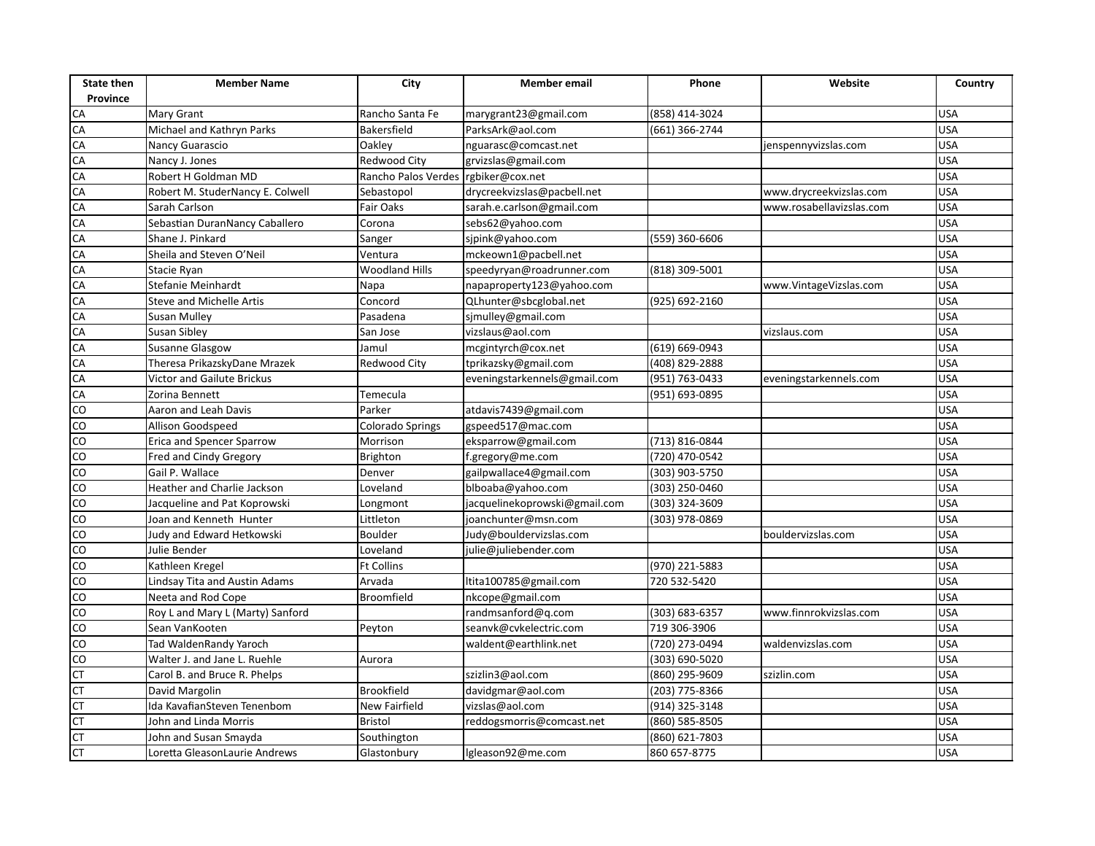| <b>State then</b><br>Province | <b>Member Name</b>               | City                    | <b>Member</b> email           | Phone          | Website                  | Country    |
|-------------------------------|----------------------------------|-------------------------|-------------------------------|----------------|--------------------------|------------|
|                               | Mary Grant                       | Rancho Santa Fe         | marygrant23@gmail.com         | (858) 414-3024 |                          | <b>USA</b> |
| CA<br>CA                      | Michael and Kathryn Parks        | Bakersfield             | ParksArk@aol.com              | (661) 366-2744 |                          | <b>USA</b> |
| CA                            | Nancy Guarascio                  | Oakley                  | nguarasc@comcast.net          |                | jenspennyvizslas.com     | <b>USA</b> |
| CA                            | Nancy J. Jones                   | <b>Redwood City</b>     | grvizslas@gmail.com           |                |                          | <b>USA</b> |
|                               | Robert H Goldman MD              | Rancho Palos Verdes     | rgbiker@cox.net               |                |                          | <b>USA</b> |
| CA<br>CA                      | Robert M. StuderNancy E. Colwell | Sebastopol              | drycreekvizslas@pacbell.net   |                | www.drycreekvizslas.com  | <b>USA</b> |
| CA                            | Sarah Carlson                    | <b>Fair Oaks</b>        | sarah.e.carlson@gmail.com     |                | www.rosabellavizslas.com | <b>USA</b> |
| CA                            | Sebastian DuranNancy Caballero   | Corona                  | sebs62@yahoo.com              |                |                          | <b>USA</b> |
| CA                            | Shane J. Pinkard                 | Sanger                  | sjpink@yahoo.com              | (559) 360-6606 |                          | <b>USA</b> |
| CA                            | Sheila and Steven O'Neil         | Ventura                 | mckeown1@pacbell.net          |                |                          | <b>USA</b> |
| CA                            | Stacie Ryan                      | <b>Woodland Hills</b>   | speedyryan@roadrunner.com     | (818) 309-5001 |                          | <b>USA</b> |
| CA                            | Stefanie Meinhardt               | Napa                    | napaproperty123@yahoo.com     |                | www.VintageVizslas.com   | <b>USA</b> |
| CA                            | <b>Steve and Michelle Artis</b>  | Concord                 | QLhunter@sbcglobal.net        | (925) 692-2160 |                          | <b>USA</b> |
| CA                            | <b>Susan Mulley</b>              | Pasadena                | sjmulley@gmail.com            |                |                          | <b>USA</b> |
| $\frac{CA}{CA}$               | Susan Sibley                     | San Jose                | vizslaus@aol.com              |                | vizslaus.com             | <b>USA</b> |
|                               | Susanne Glasgow                  | Jamul                   | mcgintyrch@cox.net            | (619) 669-0943 |                          | <b>USA</b> |
| CA                            | Theresa PrikazskyDane Mrazek     | <b>Redwood City</b>     | tprikazsky@gmail.com          | (408) 829-2888 |                          | <b>USA</b> |
| CA                            | Victor and Gailute Brickus       |                         | eveningstarkennels@gmail.com  | (951) 763-0433 | eveningstarkennels.com   | <b>USA</b> |
| CA                            | Zorina Bennett                   | Temecula                |                               | (951) 693-0895 |                          | <b>USA</b> |
| $\overline{c}$                | Aaron and Leah Davis             | Parker                  | atdavis7439@gmail.com         |                |                          | <b>USA</b> |
| 8                             | Allison Goodspeed                | <b>Colorado Springs</b> | gspeed517@mac.com             |                |                          | <b>USA</b> |
| $\overline{c}$                | Erica and Spencer Sparrow        | Morrison                | eksparrow@gmail.com           | (713) 816-0844 |                          | <b>USA</b> |
| $\overline{c}$                | Fred and Cindy Gregory           | <b>Brighton</b>         | f.gregory@me.com              | (720) 470-0542 |                          | <b>USA</b> |
| $\overline{c}$                | Gail P. Wallace                  | Denver                  | gailpwallace4@gmail.com       | (303) 903-5750 |                          | <b>USA</b> |
| $\overline{\text{c}}$         | Heather and Charlie Jackson      | Loveland                | blboaba@yahoo.com             | (303) 250-0460 |                          | <b>USA</b> |
| $\rm{CO}$                     | Jacqueline and Pat Koprowski     | Longmont                | jacquelinekoprowski@gmail.com | (303) 324-3609 |                          | <b>USA</b> |
| $\overline{c}$                | Joan and Kenneth Hunter          | Littleton               | joanchunter@msn.com           | (303) 978-0869 |                          | <b>USA</b> |
| $\overline{c}$                | Judy and Edward Hetkowski        | Boulder                 | Judy@bouldervizslas.com       |                | bouldervizslas.com       | <b>USA</b> |
| $\overline{c}$                | Julie Bender                     | Loveland                | julie@juliebender.com         |                |                          | <b>USA</b> |
| $\overline{c}$                | Kathleen Kregel                  | <b>Ft Collins</b>       |                               | (970) 221-5883 |                          | <b>USA</b> |
| CO                            | Lindsay Tita and Austin Adams    | Arvada                  | ltita100785@gmail.com         | 720 532-5420   |                          | <b>USA</b> |
| $\overline{c}$                | Neeta and Rod Cope               | Broomfield              | nkcope@gmail.com              |                |                          | <b>USA</b> |
| $\overline{c}$                | Roy L and Mary L (Marty) Sanford |                         | randmsanford@q.com            | (303) 683-6357 | www.finnrokvizslas.com   | <b>USA</b> |
| CO                            | Sean VanKooten                   | Peyton                  | seanvk@cvkelectric.com        | 719 306-3906   |                          | <b>USA</b> |
| $\overline{c}$                | Tad WaldenRandy Yaroch           |                         | waldent@earthlink.net         | (720) 273-0494 | waldenvizslas.com        | <b>USA</b> |
| S<br>O                        | Walter J. and Jane L. Ruehle     | Aurora                  |                               | (303) 690-5020 |                          | <b>USA</b> |
| $\overline{\mathsf{C}}$       | Carol B. and Bruce R. Phelps     |                         | szizlin3@aol.com              | (860) 295-9609 | szizlin.com              | <b>USA</b> |
| <b>CT</b>                     | David Margolin                   | <b>Brookfield</b>       | davidgmar@aol.com             | (203) 775-8366 |                          | <b>USA</b> |
| <b>CT</b>                     | Ida KavafianSteven Tenenbom      | <b>New Fairfield</b>    | vizslas@aol.com               | (914) 325-3148 |                          | <b>USA</b> |
| CI                            | John and Linda Morris            | <b>Bristol</b>          | reddogsmorris@comcast.net     | (860) 585-8505 |                          | <b>USA</b> |
| CT<br>CT                      | John and Susan Smayda            | Southington             |                               | (860) 621-7803 |                          | <b>USA</b> |
|                               | Loretta GleasonLaurie Andrews    | Glastonbury             | lgleason92@me.com             | 860 657-8775   |                          | <b>USA</b> |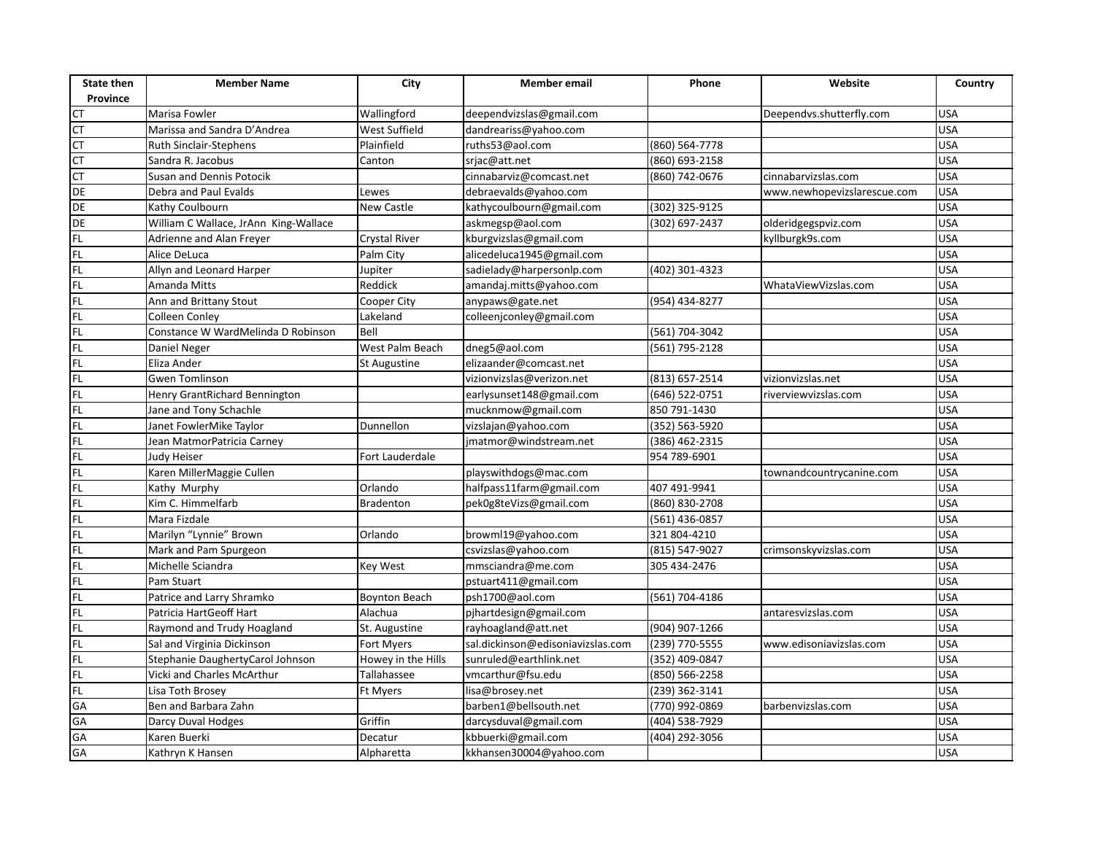| <b>State then</b><br>Province | <b>Member Name</b>                    | City                 | <b>Member</b> email               | Phone          | Website                     | Country    |
|-------------------------------|---------------------------------------|----------------------|-----------------------------------|----------------|-----------------------------|------------|
| せけ                            | Marisa Fowler                         | Wallingford          | deependvizslas@gmail.com          |                | Deependvs.shutterfly.com    | <b>USA</b> |
|                               | Marissa and Sandra D'Andrea           | West Suffield        | dandreariss@yahoo.com             |                |                             | <b>USA</b> |
|                               | Ruth Sinclair-Stephens                | Plainfield           | ruths53@aol.com                   | (860) 564-7778 |                             | <b>USA</b> |
| E<br>CL                       | Sandra R. Jacobus                     | Canton               | srjac@att.net                     | (860) 693-2158 |                             | <b>USA</b> |
| CT                            | <b>Susan and Dennis Potocik</b>       |                      | cinnabarviz@comcast.net           | (860) 742-0676 | cinnabarvizslas.com         | <b>USA</b> |
| <b>DE</b>                     | Debra and Paul Evalds                 | Lewes                | debraevalds@yahoo.com             |                | www.newhopevizslarescue.com | <b>USA</b> |
| DE                            | Kathy Coulbourn                       | <b>New Castle</b>    | kathycoulbourn@gmail.com          | (302) 325-9125 |                             | <b>USA</b> |
|                               | William C Wallace, JrAnn King-Wallace |                      | askmegsp@aol.com                  | (302) 697-2437 | olderidgegspviz.com         | <b>USA</b> |
| de<br>Fl                      | Adrienne and Alan Freyer              | <b>Crystal River</b> | kburgvizslas@gmail.com            |                | kyllburgk9s.com             | <b>USA</b> |
| FL                            | Alice DeLuca                          | Palm City            | alicedeluca1945@gmail.com         |                |                             | <b>USA</b> |
|                               | Allyn and Leonard Harper              | Jupiter              | sadielady@harpersonlp.com         | (402) 301-4323 |                             | <b>USA</b> |
| 모 모                           | Amanda Mitts                          | Reddick              | amandaj.mitts@yahoo.com           |                | WhataViewVizslas.com        | <b>USA</b> |
|                               | Ann and Brittany Stout                | Cooper City          | anypaws@gate.net                  | (954) 434-8277 |                             | <b>USA</b> |
| FL                            | Colleen Conley                        | Lakeland             | colleenjconley@gmail.com          |                |                             | <b>USA</b> |
| 日 四 四 四                       | Constance W WardMelinda D Robinson    | Bell                 |                                   | (561) 704-3042 |                             | <b>USA</b> |
|                               | Daniel Neger                          | West Palm Beach      | dneg5@aol.com                     | (561) 795-2128 |                             | <b>USA</b> |
|                               | Eliza Ander                           | <b>St Augustine</b>  | elizaander@comcast.net            |                |                             | <b>USA</b> |
|                               | <b>Gwen Tomlinson</b>                 |                      | vizionvizslas@verizon.net         | (813) 657-2514 | vizionvizslas.net           | <b>USA</b> |
| FL                            | Henry GrantRichard Bennington         |                      | earlysunset148@gmail.com          | (646) 522-0751 | riverviewvizslas.com        | <b>USA</b> |
| FL                            | Jane and Tony Schachle                |                      | mucknmow@gmail.com                | 850 791-1430   |                             | <b>USA</b> |
|                               | Janet FowlerMike Taylor               | Dunnellon            | vizslajan@yahoo.com               | (352) 563-5920 |                             | <b>USA</b> |
| 교교교교                          | Jean MatmorPatricia Carney            |                      | jmatmor@windstream.net            | (386) 462-2315 |                             | <b>USA</b> |
|                               | Judy Heiser                           | Fort Lauderdale      |                                   | 954 789-6901   |                             | <b>USA</b> |
|                               | Karen MillerMaggie Cullen             |                      | playswithdogs@mac.com             |                | townandcountrycanine.com    | <b>USA</b> |
| FL.                           | Kathy Murphy                          | Orlando              | halfpass11farm@gmail.com          | 407 491-9941   |                             | <b>USA</b> |
| FL<br>FL                      | Kim C. Himmelfarb                     | <b>Bradenton</b>     | pek0g8teVizs@gmail.com            | (860) 830-2708 |                             | <b>USA</b> |
|                               | Mara Fizdale                          |                      |                                   | (561) 436-0857 |                             | <b>USA</b> |
|                               | Marilyn "Lynnie" Brown                | Orlando              | browml19@yahoo.com                | 321 804-4210   |                             | <b>USA</b> |
| 보도                            | Mark and Pam Spurgeon                 |                      | csvizslas@yahoo.com               | (815) 547-9027 | crimsonskyvizslas.com       | <b>USA</b> |
| FL                            | Michelle Sciandra                     | <b>Key West</b>      | mmsciandra@me.com                 | 305 434-2476   |                             | <b>USA</b> |
| 민도                            | Pam Stuart                            |                      | pstuart411@gmail.com              |                |                             | <b>USA</b> |
|                               | Patrice and Larry Shramko             | <b>Boynton Beach</b> | psh1700@aol.com                   | (561) 704-4186 |                             | <b>USA</b> |
| FL                            | Patricia HartGeoff Hart               | Alachua              | pjhartdesign@gmail.com            |                | antaresvizslas.com          | <b>USA</b> |
| FL                            | Raymond and Trudy Hoagland            | St. Augustine        | rayhoagland@att.net               | (904) 907-1266 |                             | <b>USA</b> |
| FL                            | Sal and Virginia Dickinson            | Fort Myers           | sal.dickinson@edisoniavizslas.com | (239) 770-5555 | www.edisoniavizslas.com     | <b>USA</b> |
| FL                            | Stephanie DaughertyCarol Johnson      | Howey in the Hills   | sunruled@earthlink.net            | (352) 409-0847 |                             | <b>USA</b> |
| FL                            | Vicki and Charles McArthur            | Tallahassee          | vmcarthur@fsu.edu                 | (850) 566-2258 |                             | <b>USA</b> |
| FL                            | Lisa Toth Brosey                      | Ft Myers             | lisa@brosey.net                   | (239) 362-3141 |                             | <b>USA</b> |
| GA                            | Ben and Barbara Zahn                  |                      | barben1@bellsouth.net             | (770) 992-0869 | barbenvizslas.com           | <b>USA</b> |
| GA                            | Darcy Duval Hodges                    | Griffin              | darcysduval@gmail.com             | (404) 538-7929 |                             | <b>USA</b> |
| GA<br>GA                      | Karen Buerki                          | Decatur              | kbbuerki@gmail.com                | (404) 292-3056 |                             | <b>USA</b> |
|                               | Kathryn K Hansen                      | Alpharetta           | kkhansen30004@yahoo.com           |                |                             | <b>USA</b> |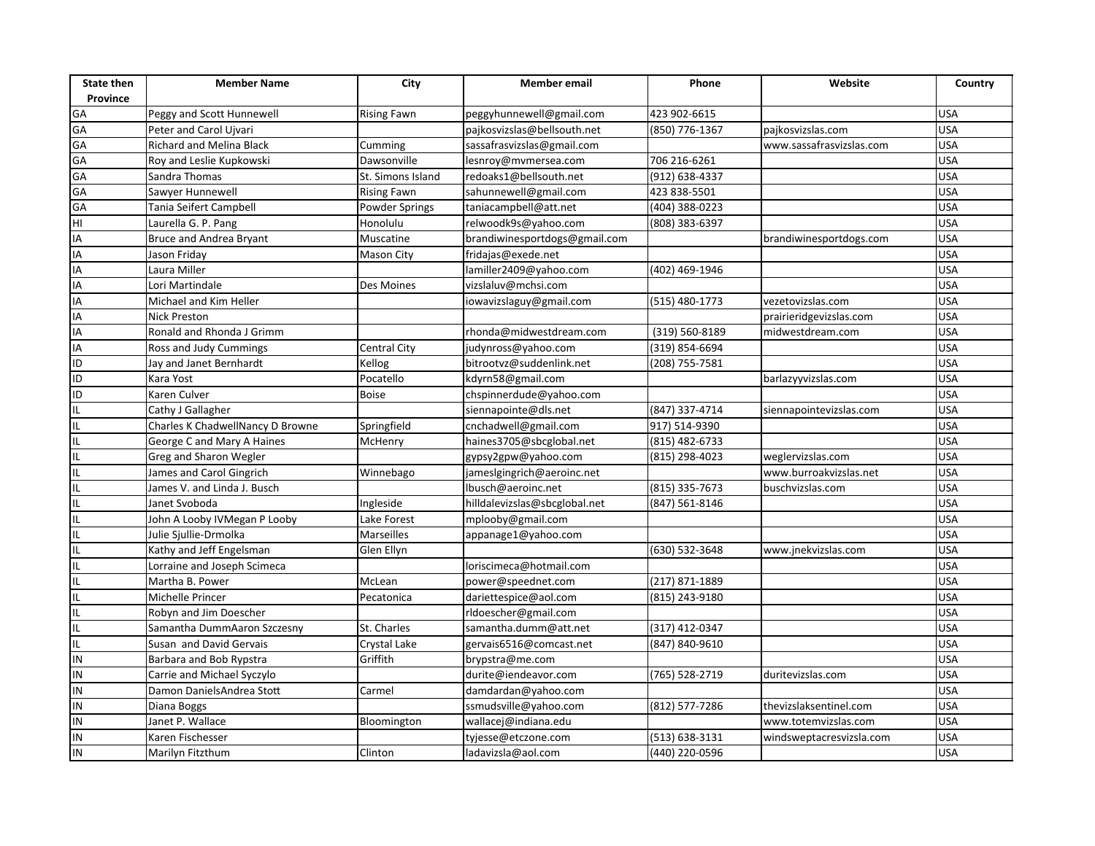| Province<br>GA<br>423 902-6615<br>Peggy and Scott Hunnewell<br><b>Rising Fawn</b><br>peggyhunnewell@gmail.com<br>GA<br>Peter and Carol Ujvari<br>pajkosvizslas@bellsouth.net<br>(850) 776-1367<br>pajkosvizslas.com | <b>USA</b><br><b>USA</b><br><b>USA</b> |
|---------------------------------------------------------------------------------------------------------------------------------------------------------------------------------------------------------------------|----------------------------------------|
|                                                                                                                                                                                                                     |                                        |
|                                                                                                                                                                                                                     |                                        |
| GA                                                                                                                                                                                                                  |                                        |
| Richard and Melina Black<br>sassafrasvizslas@gmail.com<br>www.sassafrasvizslas.com<br>Cumming<br>GA<br>706 216-6261                                                                                                 | <b>USA</b>                             |
| Dawsonville<br>lesnroy@mvmersea.com<br>Roy and Leslie Kupkowski                                                                                                                                                     |                                        |
| GA<br>St. Simons Island<br>redoaks1@bellsouth.net<br>(912) 638-4337<br>Sandra Thomas                                                                                                                                | <b>USA</b>                             |
| GA<br>423 838-5501<br>Sawyer Hunnewell<br>sahunnewell@gmail.com<br><b>Rising Fawn</b>                                                                                                                               | <b>USA</b>                             |
| GA<br>Tania Seifert Campbell<br>taniacampbell@att.net<br>(404) 388-0223<br>Powder Springs                                                                                                                           | <b>USA</b>                             |
| HI<br>relwoodk9s@yahoo.com<br>Laurella G. P. Pang<br>Honolulu<br>(808) 383-6397                                                                                                                                     | <b>USA</b>                             |
| IA<br>Bruce and Andrea Bryant<br>Muscatine<br>brandiwinesportdogs@gmail.com<br>brandiwinesportdogs.com                                                                                                              | <b>USA</b>                             |
| IA<br>Jason Friday<br>fridajas@exede.net<br>Mason City                                                                                                                                                              | <b>USA</b>                             |
| $\overline{IA}$<br>Laura Miller<br>lamiller2409@yahoo.com<br>(402) 469-1946                                                                                                                                         | <b>USA</b>                             |
| IA<br>vizslaluv@mchsi.com<br>Lori Martindale<br>Des Moines                                                                                                                                                          | <b>USA</b>                             |
| IA<br>(515) 480-1773<br>Michael and Kim Heller<br>iowavizslaguy@gmail.com<br>vezetovizslas.com                                                                                                                      | <b>USA</b>                             |
| IA<br><b>Nick Preston</b><br>prairieridgevizslas.com                                                                                                                                                                | <b>USA</b>                             |
| IA<br>(319) 560-8189<br>Ronald and Rhonda J Grimm<br>rhonda@midwestdream.com<br>midwestdream.com                                                                                                                    | <b>USA</b>                             |
| $\overline{IA}$<br>Central City<br>(319) 854-6694<br>Ross and Judy Cummings<br>judynross@yahoo.com                                                                                                                  | <b>USA</b>                             |
| ID<br>Jay and Janet Bernhardt<br>Kellog<br>bitrootvz@suddenlink.net<br>(208) 755-7581                                                                                                                               | <b>USA</b>                             |
| ID<br>barlazyyvizslas.com<br>Pocatello<br>kdyrn58@gmail.com<br>Kara Yost                                                                                                                                            | <b>USA</b>                             |
| ID<br>Karen Culver<br>Boise<br>chspinnerdude@yahoo.com                                                                                                                                                              | <b>USA</b>                             |
| IL.<br>Cathy J Gallagher<br>siennapointe@dls.net<br>(847) 337-4714<br>siennapointevizslas.com                                                                                                                       | <b>USA</b>                             |
| IL<br>Charles K ChadwellNancy D Browne<br>Springfield<br>cnchadwell@gmail.com<br>917) 514-9390                                                                                                                      | <b>USA</b>                             |
| IL<br>George C and Mary A Haines<br>McHenry<br>haines3705@sbcglobal.net<br>(815) 482-6733                                                                                                                           | <b>USA</b>                             |
| IL<br>Greg and Sharon Wegler<br>(815) 298-4023<br>gypsy2gpw@yahoo.com<br>weglervizslas.com                                                                                                                          | <b>USA</b>                             |
| IL<br>James and Carol Gingrich<br>jameslgingrich@aeroinc.net<br>www.burroakvizslas.net<br>Winnebago                                                                                                                 | <b>USA</b>                             |
| IL<br>lbusch@aeroinc.net<br>(815) 335-7673<br>James V. and Linda J. Busch<br>buschvizslas.com                                                                                                                       | <b>USA</b>                             |
| IL<br>(847) 561-8146<br>Janet Svoboda<br>Ingleside<br>hilldalevizslas@sbcglobal.net                                                                                                                                 | <b>USA</b>                             |
| IL<br>mplooby@gmail.com<br>John A Looby IVMegan P Looby<br>Lake Forest                                                                                                                                              | <b>USA</b>                             |
| IL<br>Julie Sjullie-Drmolka<br>Marseilles<br>appanage1@yahoo.com                                                                                                                                                    | <b>USA</b>                             |
| IL<br>(630) 532-3648<br>Kathy and Jeff Engelsman<br>Glen Ellyn<br>www.jnekvizslas.com                                                                                                                               | <b>USA</b>                             |
| IL.<br>Lorraine and Joseph Scimeca<br>loriscimeca@hotmail.com                                                                                                                                                       | <b>USA</b>                             |
| IL<br>Martha B. Power<br>McLean<br>power@speednet.com<br>(217) 871-1889                                                                                                                                             | <b>USA</b>                             |
| IL<br>Michelle Princer<br>dariettespice@aol.com<br>(815) 243-9180<br>Pecatonica                                                                                                                                     | <b>USA</b>                             |
| IL<br>Robyn and Jim Doescher<br>rldoescher@gmail.com                                                                                                                                                                | <b>USA</b>                             |
| ΙL<br>St. Charles<br>(317) 412-0347<br>Samantha DummAaron Szczesny<br>samantha.dumm@att.net                                                                                                                         | <b>USA</b>                             |
| IL<br>Susan and David Gervais<br>(847) 840-9610<br>Crystal Lake<br>gervais6516@comcast.net                                                                                                                          | <b>USA</b>                             |
| IN<br>Griffith<br>Barbara and Bob Rypstra<br>brypstra@me.com                                                                                                                                                        | <b>USA</b>                             |
| IN<br>Carrie and Michael Syczylo<br>durite@iendeavor.com<br>(765) 528-2719<br>duritevizslas.com                                                                                                                     | <b>USA</b>                             |
| IN<br>Damon DanielsAndrea Stott<br>damdardan@yahoo.com<br>Carmel                                                                                                                                                    | <b>USA</b>                             |
| IN<br>(812) 577-7286<br>Diana Boggs<br>ssmudsville@yahoo.com<br>thevizslaksentinel.com                                                                                                                              | <b>USA</b>                             |
| IN<br>Janet P. Wallace<br>wallacej@indiana.edu<br>www.totemvizslas.com<br>Bloomington                                                                                                                               | <b>USA</b>                             |
| IN<br>(513) 638-3131<br>Karen Fischesser<br>tyjesse@etczone.com<br>windsweptacresvizsla.com                                                                                                                         | <b>USA</b>                             |
| IN<br>Marilyn Fitzthum<br>Clinton<br>ladavizsla@aol.com<br>(440) 220-0596                                                                                                                                           | <b>USA</b>                             |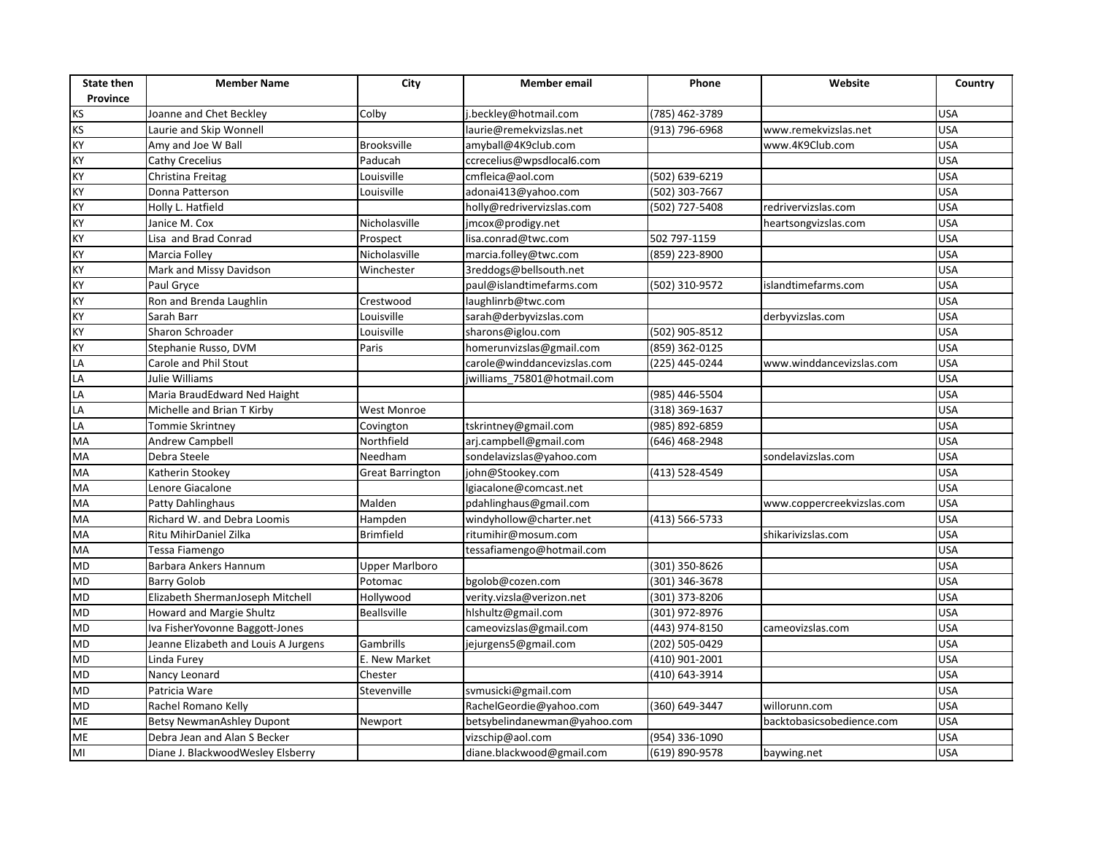| <b>State then</b><br>Province | <b>Member Name</b>                   | City                    | <b>Member</b> email          | Phone          | Website                    | Country    |
|-------------------------------|--------------------------------------|-------------------------|------------------------------|----------------|----------------------------|------------|
|                               | Joanne and Chet Beckley              | Colby                   | j.beckley@hotmail.com        | (785) 462-3789 |                            | <b>USA</b> |
| KS<br>KS<br>KS                | Laurie and Skip Wonnell              |                         | laurie@remekvizslas.net      | (913) 796-6968 | www.remekvizslas.net       | <b>USA</b> |
|                               | Amy and Joe W Ball                   | <b>Brooksville</b>      | amyball@4K9club.com          |                | www.4K9Club.com            | <b>USA</b> |
| <b>KY</b>                     | Cathy Crecelius                      | Paducah                 | ccrecelius@wpsdlocal6.com    |                |                            | <b>USA</b> |
| ΚY                            | Christina Freitag                    | Louisville              | cmfleica@aol.com             | (502) 639-6219 |                            | <b>USA</b> |
| KY                            | Donna Patterson                      | Louisville              | adonai413@yahoo.com          | (502) 303-7667 |                            | <b>USA</b> |
| KY                            | Holly L. Hatfield                    |                         | holly@redrivervizslas.com    | (502) 727-5408 | redrivervizslas.com        | <b>USA</b> |
| ΚY                            | Janice M. Cox                        | Nicholasville           | jmcox@prodigy.net            |                | heartsongvizslas.com       | <b>USA</b> |
| KY                            | Lisa and Brad Conrad                 | Prospect                | lisa.conrad@twc.com          | 502 797-1159   |                            | <b>USA</b> |
| KY                            | Marcia Folley                        | Nicholasville           | marcia.folley@twc.com        | (859) 223-8900 |                            | <b>USA</b> |
| <b>KY</b>                     | Mark and Missy Davidson              | Winchester              | 3reddogs@bellsouth.net       |                |                            | <b>USA</b> |
| ΚY                            | Paul Gryce                           |                         | paul@islandtimefarms.com     | (502) 310-9572 | islandtimefarms.com        | <b>USA</b> |
| KY                            | Ron and Brenda Laughlin              | Crestwood               | laughlinrb@twc.com           |                |                            | <b>USA</b> |
| KY                            | Sarah Barr                           | Louisville              | sarah@derbyvizslas.com       |                | derbyvizslas.com           | <b>USA</b> |
| KY                            | Sharon Schroader                     | Louisville              | sharons@iglou.com            | (502) 905-8512 |                            | <b>USA</b> |
| KY                            | Stephanie Russo, DVM                 | Paris                   | homerunvizslas@gmail.com     | (859) 362-0125 |                            | <b>USA</b> |
| LA                            | Carole and Phil Stout                |                         | carole@winddancevizslas.com  | (225) 445-0244 | www.winddancevizslas.com   | <b>USA</b> |
| LA                            | Julie Williams                       |                         | jwilliams 75801@hotmail.com  |                |                            | <b>USA</b> |
| LA                            | Maria BraudEdward Ned Haight         |                         |                              | (985) 446-5504 |                            | <b>USA</b> |
| LA                            | Michelle and Brian T Kirby           | <b>West Monroe</b>      |                              | (318) 369-1637 |                            | <b>USA</b> |
| LA                            | Tommie Skrintney                     | Covington               | tskrintney@gmail.com         | (985) 892-6859 |                            | <b>USA</b> |
| MA                            | <b>Andrew Campbell</b>               | Northfield              | arj.campbell@gmail.com       | (646) 468-2948 |                            | <b>USA</b> |
| MA                            | Debra Steele                         | Needham                 | sondelavizslas@yahoo.com     |                | sondelavizslas.com         | <b>USA</b> |
| MA                            | Katherin Stookey                     | <b>Great Barrington</b> | john@Stookey.com             | (413) 528-4549 |                            | <b>USA</b> |
| MA                            | Lenore Giacalone                     |                         | lgiacalone@comcast.net       |                |                            | <b>USA</b> |
| MA                            | Patty Dahlinghaus                    | Malden                  | pdahlinghaus@gmail.com       |                | www.coppercreekvizslas.com | <b>USA</b> |
| <b>MA</b>                     | Richard W. and Debra Loomis          | Hampden                 | windyhollow@charter.net      | (413) 566-5733 |                            | <b>USA</b> |
| <b>MA</b>                     | Ritu MihirDaniel Zilka               | <b>Brimfield</b>        | ritumihir@mosum.com          |                | shikarivizslas.com         | <b>USA</b> |
| MA                            | Tessa Fiamengo                       |                         | tessafiamengo@hotmail.com    |                |                            | <b>USA</b> |
| <b>MD</b>                     | Barbara Ankers Hannum                | <b>Upper Marlboro</b>   |                              | (301) 350-8626 |                            | <b>USA</b> |
| <b>ND</b>                     | <b>Barry Golob</b>                   | Potomac                 | bgolob@cozen.com             | (301) 346-3678 |                            | <b>USA</b> |
| <b>MD</b>                     | Elizabeth ShermanJoseph Mitchell     | Hollywood               | verity.vizsla@verizon.net    | (301) 373-8206 |                            | <b>USA</b> |
| <b>MD</b>                     | Howard and Margie Shultz             | <b>Beallsville</b>      | hlshultz@gmail.com           | (301) 972-8976 |                            | <b>USA</b> |
| <b>MD</b>                     | Iva FisherYovonne Baggott-Jones      |                         | cameovizslas@gmail.com       | (443) 974-8150 | cameovizslas.com           | <b>USA</b> |
| MD                            | Jeanne Elizabeth and Louis A Jurgens | Gambrills               | jejurgens5@gmail.com         | (202) 505-0429 |                            | <b>USA</b> |
| <b>MD</b>                     | Linda Furey                          | E. New Market           |                              | (410) 901-2001 |                            | <b>USA</b> |
| <b>MD</b>                     | Nancy Leonard                        | Chester                 |                              | (410) 643-3914 |                            | <b>USA</b> |
| <b>MD</b>                     | Patricia Ware                        | Stevenville             | svmusicki@gmail.com          |                |                            | <b>USA</b> |
| <b>OM</b>                     | Rachel Romano Kelly                  |                         | RachelGeordie@yahoo.com      | (360) 649-3447 | willorunn.com              | <b>USA</b> |
| <b>ME</b>                     | <b>Betsy NewmanAshley Dupont</b>     | Newport                 | betsybelindanewman@yahoo.com |                | backtobasicsobedience.com  | <b>USA</b> |
| <b>ME</b>                     | Debra Jean and Alan S Becker         |                         | vizschip@aol.com             | (954) 336-1090 |                            | <b>USA</b> |
| $\overline{\mathsf{M}}$       | Diane J. BlackwoodWesley Elsberry    |                         | diane.blackwood@gmail.com    | (619) 890-9578 | baywing.net                | <b>USA</b> |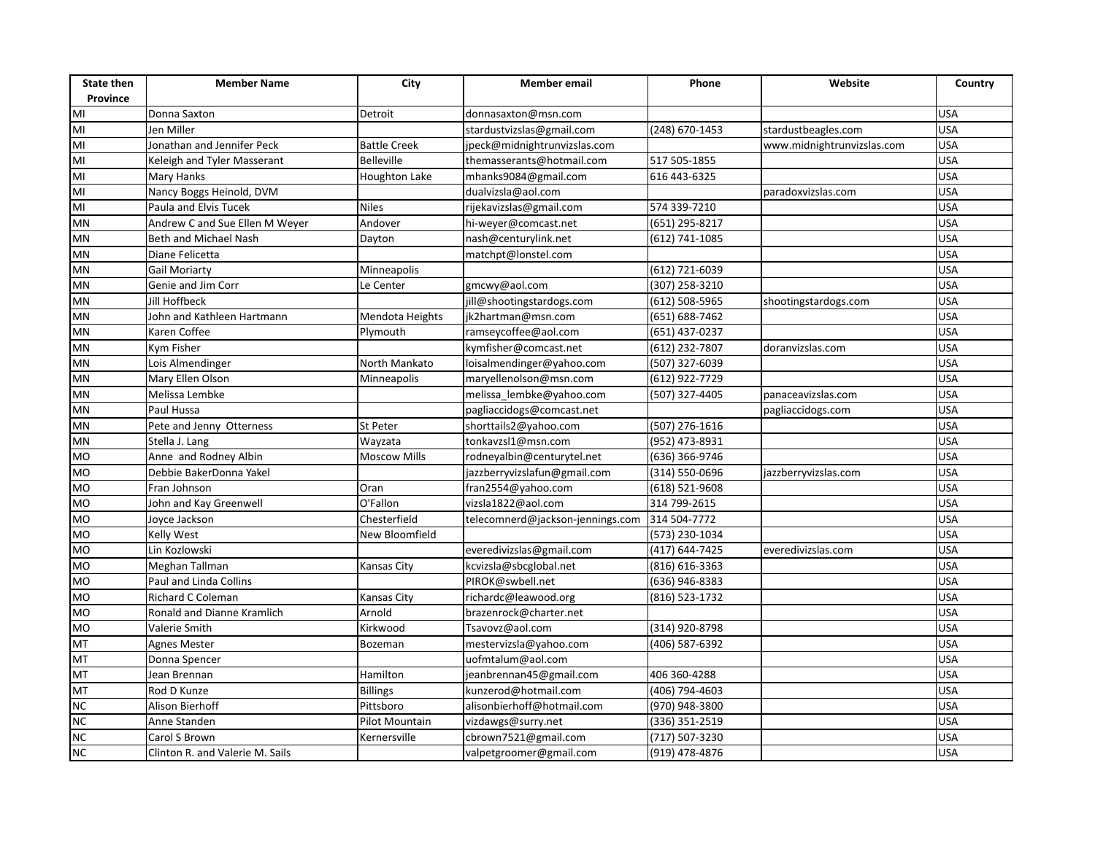| <b>State then</b><br>Province | <b>Member Name</b>              | City                 | <b>Member email</b>              | Phone            | Website                    | Country    |
|-------------------------------|---------------------------------|----------------------|----------------------------------|------------------|----------------------------|------------|
| M <sub>l</sub>                | Donna Saxton                    | Detroit              | donnasaxton@msn.com              |                  |                            | <b>USA</b> |
| M <sub>l</sub>                | Jen Miller                      |                      | stardustvizslas@gmail.com        | (248) 670-1453   | stardustbeagles.com        | <b>USA</b> |
| M <sub>l</sub>                | Jonathan and Jennifer Peck      | <b>Battle Creek</b>  | jpeck@midnightrunvizslas.com     |                  | www.midnightrunvizslas.com | <b>USA</b> |
| MI                            | Keleigh and Tyler Masserant     | <b>Belleville</b>    | themasserants@hotmail.com        | 517 505-1855     |                            | <b>USA</b> |
| MI                            | <b>Mary Hanks</b>               | <b>Houghton Lake</b> | mhanks9084@gmail.com             | 616 443-6325     |                            | <b>USA</b> |
| $\overline{M}$                | Nancy Boggs Heinold, DVM        |                      | dualvizsla@aol.com               |                  | paradoxvizslas.com         | <b>USA</b> |
| MI                            | Paula and Elvis Tucek           | <b>Niles</b>         | rijekavizslas@gmail.com          | 574 339-7210     |                            | <b>USA</b> |
| <b>MN</b>                     | Andrew C and Sue Ellen M Weyer  | Andover              | hi-weyer@comcast.net             | (651) 295-8217   |                            | <b>USA</b> |
| <b>MN</b>                     | Beth and Michael Nash           | Dayton               | nash@centurylink.net             | (612) 741-1085   |                            | <b>USA</b> |
| <b>MN</b>                     | Diane Felicetta                 |                      | matchpt@lonstel.com              |                  |                            | <b>USA</b> |
| <b>MN</b>                     | <b>Gail Moriarty</b>            | Minneapolis          |                                  | (612) 721-6039   |                            | <b>USA</b> |
| MN                            | Genie and Jim Corr              | Le Center            | gmcwy@aol.com                    | (307) 258-3210   |                            | <b>USA</b> |
| <b>MN</b>                     | Jill Hoffbeck                   |                      | jill@shootingstardogs.com        | (612) 508-5965   | shootingstardogs.com       | <b>USA</b> |
| MN                            | John and Kathleen Hartmann      | Mendota Heights      | jk2hartman@msn.com               | (651) 688-7462   |                            | <b>USA</b> |
| <b>MN</b>                     | Karen Coffee                    | Plymouth             | ramseycoffee@aol.com             | (651) 437-0237   |                            | <b>USA</b> |
| <b>MN</b>                     | Kym Fisher                      |                      | kymfisher@comcast.net            | (612) 232-7807   | doranvizslas.com           | <b>USA</b> |
| <b>MN</b>                     | Lois Almendinger                | North Mankato        | loisalmendinger@yahoo.com        | $(507)$ 327-6039 |                            | <b>USA</b> |
| MN                            | Mary Ellen Olson                | Minneapolis          | maryellenolson@msn.com           | (612) 922-7729   |                            | <b>USA</b> |
| <b>MN</b>                     | Melissa Lembke                  |                      | melissa lembke@yahoo.com         | (507) 327-4405   | panaceavizslas.com         | <b>USA</b> |
| <b>MN</b>                     | Paul Hussa                      |                      | pagliaccidogs@comcast.net        |                  | pagliaccidogs.com          | <b>USA</b> |
| MN                            | Pete and Jenny Otterness        | St Peter             | shorttails2@yahoo.com            | (507) 276-1616   |                            | <b>USA</b> |
| <b>MN</b>                     | Stella J. Lang                  | Wayzata              | tonkavzsl1@msn.com               | $(952)$ 473-8931 |                            | <b>USA</b> |
| <b>MO</b>                     | Anne and Rodney Albin           | <b>Moscow Mills</b>  | rodneyalbin@centurytel.net       | (636) 366-9746   |                            | <b>USA</b> |
| <b>MO</b>                     | Debbie BakerDonna Yakel         |                      | jazzberryvizslafun@gmail.com     | (314) 550-0696   | jazzberryvizslas.com       | <b>USA</b> |
| <b>MO</b>                     | Fran Johnson                    | Oran                 | fran2554@yahoo.com               | (618) 521-9608   |                            | <b>USA</b> |
| <b>MO</b>                     | John and Kay Greenwell          | O'Fallon             | vizsla1822@aol.com               | 314 799-2615     |                            | <b>USA</b> |
| <b>MO</b>                     | Joyce Jackson                   | Chesterfield         | telecomnerd@jackson-jennings.com | 314 504-7772     |                            | <b>USA</b> |
| <b>MO</b>                     | Kelly West                      | New Bloomfield       |                                  | (573) 230-1034   |                            | <b>USA</b> |
| <b>MO</b>                     | Lin Kozlowski                   |                      | everedivizslas@gmail.com         | (417) 644-7425   | everedivizslas.com         | <b>USA</b> |
| <b>MO</b>                     | Meghan Tallman                  | Kansas City          | kcvizsla@sbcglobal.net           | (816) 616-3363   |                            | <b>USA</b> |
| <b>OM</b>                     | Paul and Linda Collins          |                      | PIROK@swbell.net                 | (636) 946-8383   |                            | <b>USA</b> |
| <b>MO</b>                     | Richard C Coleman               | Kansas City          | richardc@leawood.org             | (816) 523-1732   |                            | <b>USA</b> |
| <b>OM</b>                     | Ronald and Dianne Kramlich      | Arnold               | brazenrock@charter.net           |                  |                            | <b>USA</b> |
| <b>MO</b>                     | Valerie Smith                   | Kirkwood             | Tsavovz@aol.com                  | (314) 920-8798   |                            | <b>USA</b> |
| MT                            | Agnes Mester                    | Bozeman              | mestervizsla@yahoo.com           | (406) 587-6392   |                            | <b>USA</b> |
| MT                            | Donna Spencer                   |                      | uofmtalum@aol.com                |                  |                            | <b>USA</b> |
| MT                            | Jean Brennan                    | Hamilton             | jeanbrennan45@gmail.com          | 406 360-4288     |                            | <b>USA</b> |
| <b>MT</b>                     | Rod D Kunze                     | <b>Billings</b>      | kunzerod@hotmail.com             | (406) 794-4603   |                            | <b>USA</b> |
| <b>NC</b>                     | Alison Bierhoff                 | Pittsboro            | alisonbierhoff@hotmail.com       | (970) 948-3800   |                            | <b>USA</b> |
| <b>NC</b>                     | Anne Standen                    | Pilot Mountain       | vizdawgs@surry.net               | (336) 351-2519   |                            | <b>USA</b> |
| $\frac{1}{20}$                | Carol S Brown                   | Kernersville         | cbrown7521@gmail.com             | (717) 507-3230   |                            | <b>USA</b> |
|                               | Clinton R. and Valerie M. Sails |                      | valpetgroomer@gmail.com          | (919) 478-4876   |                            | <b>USA</b> |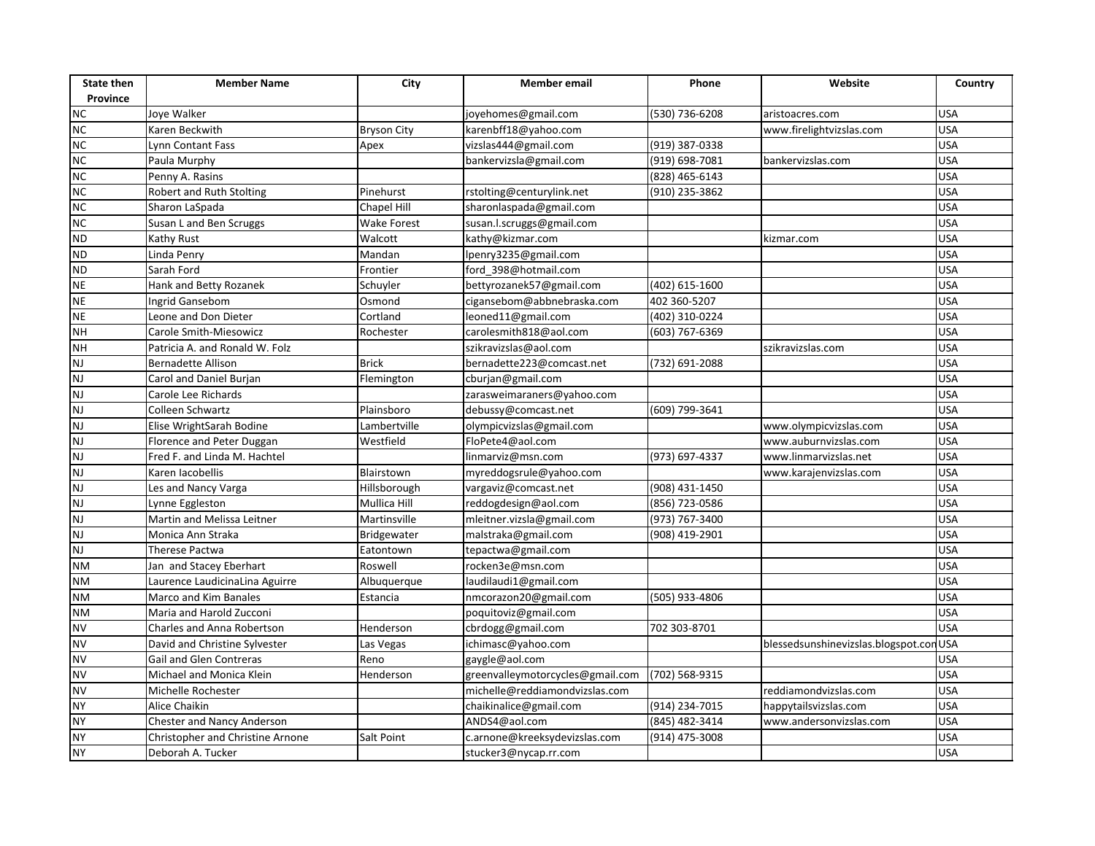| <b>State then</b><br>Province | <b>Member Name</b>                | City                       | <b>Member</b> email                              | Phone                          | Website                                | Country                  |
|-------------------------------|-----------------------------------|----------------------------|--------------------------------------------------|--------------------------------|----------------------------------------|--------------------------|
| <b>NC</b>                     | Joye Walker                       |                            | joyehomes@gmail.com                              | (530) 736-6208                 | aristoacres.com                        | <b>USA</b>               |
| NC                            | Karen Beckwith                    |                            | karenbff18@yahoo.com                             |                                | www.firelightvizslas.com               | <b>USA</b>               |
| NC                            | Lynn Contant Fass                 | <b>Bryson City</b><br>Apex | vizslas444@gmail.com                             | (919) 387-0338                 |                                        | <b>USA</b>               |
| NC                            | Paula Murphy                      |                            | bankervizsla@gmail.com                           | (919) 698-7081                 | bankervizslas.com                      | <b>USA</b>               |
| NC                            | Penny A. Rasins                   |                            |                                                  | (828) 465-6143                 |                                        | <b>USA</b>               |
| <b>NC</b>                     | Robert and Ruth Stolting          | Pinehurst                  | rstolting@centurylink.net                        | (910) 235-3862                 |                                        | <b>USA</b>               |
| <b>NC</b>                     | Sharon LaSpada                    | Chapel Hill                | sharonlaspada@gmail.com                          |                                |                                        | <b>USA</b>               |
| NC                            | Susan L and Ben Scruggs           | <b>Wake Forest</b>         | susan.l.scruggs@gmail.com                        |                                |                                        | <b>USA</b>               |
| <b>ND</b>                     | Kathy Rust                        | Walcott                    | kathy@kizmar.com                                 |                                | kizmar.com                             | <b>USA</b>               |
| <b>ND</b>                     |                                   |                            |                                                  |                                |                                        | <b>USA</b>               |
| <b>ND</b>                     | Linda Penry<br>Sarah Ford         | Mandan                     | lpenry3235@gmail.com                             |                                |                                        | <b>USA</b>               |
| <b>NE</b>                     |                                   | Frontier                   | ford 398@hotmail.com                             |                                |                                        | <b>USA</b>               |
| <b>NE</b>                     | Hank and Betty Rozanek            | Schuyler<br>Osmond         | bettyrozanek57@gmail.com                         | (402) 615-1600<br>402 360-5207 |                                        | <b>USA</b>               |
| <b>NE</b>                     | Ingrid Gansebom                   |                            | cigansebom@abbnebraska.com<br>leoned11@gmail.com | (402) 310-0224                 |                                        | <b>USA</b>               |
| <b>NH</b>                     | Leone and Don Dieter              | Cortland                   |                                                  |                                |                                        | <b>USA</b>               |
|                               | Carole Smith-Miesowicz            | Rochester                  | carolesmith818@aol.com                           | (603) 767-6369                 |                                        | <b>USA</b>               |
| <b>NH</b><br>NJ               | Patricia A. and Ronald W. Folz    | <b>Brick</b>               | szikravizslas@aol.com                            |                                | szikravizslas.com                      | <b>USA</b>               |
|                               | <b>Bernadette Allison</b>         |                            | bernadette223@comcast.net                        | (732) 691-2088                 |                                        |                          |
| NJ<br>$\overline{\mathsf{N}}$ | Carol and Daniel Burjan           | Flemington                 | cburjan@gmail.com                                |                                |                                        | <b>USA</b><br><b>USA</b> |
|                               | Carole Lee Richards               |                            | zarasweimaraners@yahoo.com                       |                                |                                        |                          |
| NJ                            | Colleen Schwartz                  | Plainsboro                 | debussy@comcast.net                              | (609) 799-3641                 |                                        | <b>USA</b>               |
| <b>NJ</b>                     | Elise WrightSarah Bodine          | Lambertville               | olympicvizslas@gmail.com                         |                                | www.olympicvizslas.com                 | <b>USA</b>               |
| NJ                            | Florence and Peter Duggan         | Westfield                  | FloPete4@aol.com                                 |                                | www.auburnvizslas.com                  | <b>USA</b>               |
| NJ                            | Fred F. and Linda M. Hachtel      |                            | linmarviz@msn.com                                | (973) 697-4337                 | www.linmarvizslas.net                  | <b>USA</b>               |
| NJ                            | Karen Jacobellis                  | Blairstown                 | myreddogsrule@yahoo.com                          |                                | www.karajenvizslas.com                 | <b>USA</b>               |
| NJ                            | Les and Nancy Varga               | Hillsborough               | vargaviz@comcast.net                             | (908) 431-1450                 |                                        | <b>USA</b>               |
| NJ                            | Lynne Eggleston                   | Mullica Hill               | reddogdesign@aol.com                             | (856) 723-0586                 |                                        | <b>USA</b>               |
| NJ                            | Martin and Melissa Leitner        | Martinsville               | mleitner.vizsla@gmail.com                        | (973) 767-3400                 |                                        | <b>USA</b>               |
| NJ                            | Monica Ann Straka                 | Bridgewater                | malstraka@gmail.com                              | (908) 419-2901                 |                                        | <b>USA</b>               |
| NJ                            | Therese Pactwa                    | Eatontown                  | tepactwa@gmail.com                               |                                |                                        | <b>USA</b>               |
| <b>NM</b>                     | Jan and Stacey Eberhart           | Roswell                    | rocken3e@msn.com                                 |                                |                                        | <b>USA</b>               |
| <b>NM</b>                     | Laurence LaudicinaLina Aguirre    | Albuquerque                | laudilaudi1@gmail.com                            |                                |                                        | <b>USA</b>               |
| <b>NM</b>                     | Marco and Kim Banales             | Estancia                   | nmcorazon20@gmail.com                            | (505) 933-4806                 |                                        | <b>USA</b>               |
| <b>NM</b>                     | Maria and Harold Zucconi          |                            | poquitoviz@gmail.com                             |                                |                                        | <b>USA</b>               |
| <b>NV</b>                     | Charles and Anna Robertson        | Henderson                  | cbrdogg@gmail.com                                | 702 303-8701                   |                                        | <b>USA</b>               |
| <b>NV</b>                     | David and Christine Sylvester     | Las Vegas                  | ichimasc@yahoo.com                               |                                | blessedsunshinevizslas.blogspot.conUSA |                          |
| <b>NV</b>                     | Gail and Glen Contreras           | Reno                       | gaygle@aol.com                                   |                                |                                        | <b>USA</b>               |
| <b>NV</b>                     | Michael and Monica Klein          | Henderson                  | greenvalleymotorcycles@gmail.com                 | (702) 568-9315                 |                                        | <b>USA</b>               |
| <b>NV</b>                     | Michelle Rochester                |                            | michelle@reddiamondvizslas.com                   |                                | reddiamondvizslas.com                  | <b>USA</b>               |
| <b>NY</b>                     | Alice Chaikin                     |                            | chaikinalice@gmail.com                           | (914) 234-7015                 | happytailsvizslas.com                  | <b>USA</b>               |
| <b>NY</b>                     | <b>Chester and Nancy Anderson</b> |                            | ANDS4@aol.com                                    | (845) 482-3414                 | www.andersonvizslas.com                | <b>USA</b>               |
| <b>NY</b>                     | Christopher and Christine Arnone  | Salt Point                 | c.arnone@kreeksydevizslas.com                    | (914) 475-3008                 |                                        | <b>USA</b>               |
| <b>NY</b>                     | Deborah A. Tucker                 |                            | stucker3@nycap.rr.com                            |                                |                                        | <b>USA</b>               |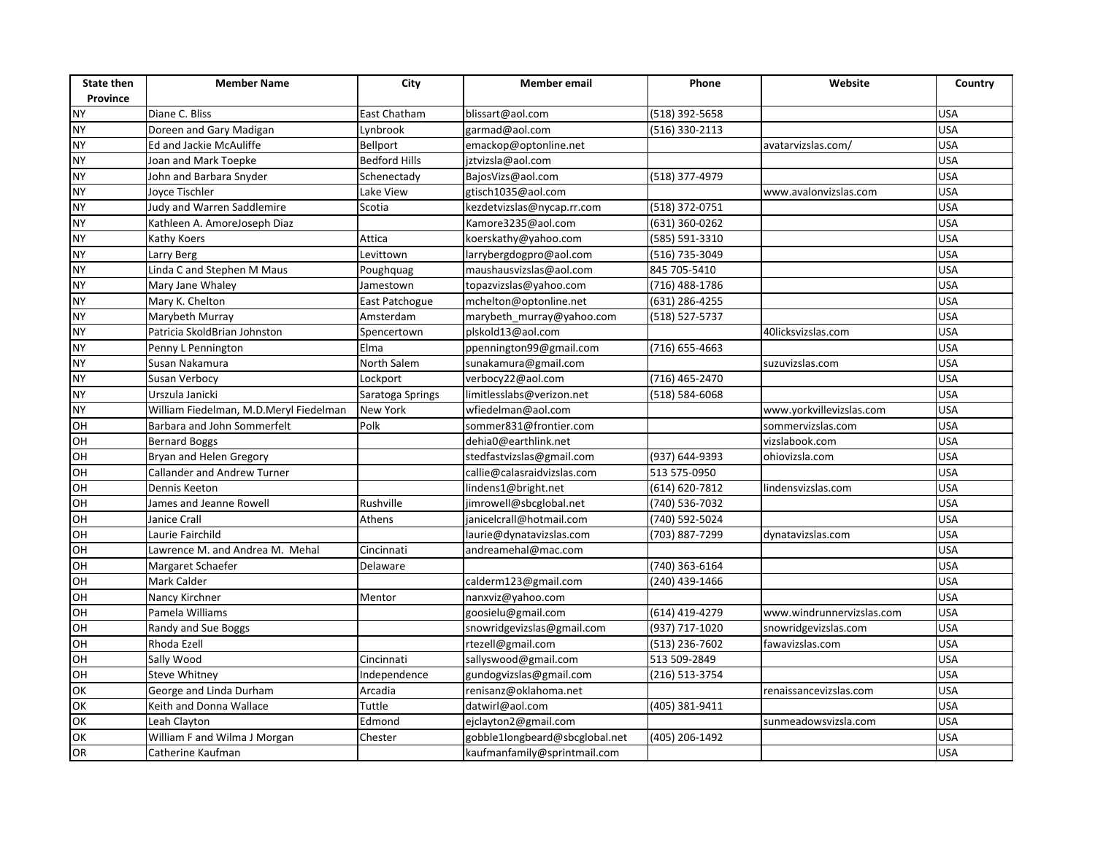| <b>State then</b>     | <b>Member Name</b>                                        | City                        | <b>Member</b> email                              | Phone          | Website                   | Country    |
|-----------------------|-----------------------------------------------------------|-----------------------------|--------------------------------------------------|----------------|---------------------------|------------|
| Province<br><b>NY</b> | Diane C. Bliss                                            | East Chatham                | blissart@aol.com                                 | (518) 392-5658 |                           | <b>USA</b> |
| <b>NY</b>             | Doreen and Gary Madigan                                   | Lynbrook                    | garmad@aol.com                                   | (516) 330-2113 |                           | <b>USA</b> |
| <b>NY</b>             | Ed and Jackie McAuliffe                                   | Bellport                    | emackop@optonline.net                            |                | avatarvizslas.com/        | <b>USA</b> |
| <b>NY</b>             | Joan and Mark Toepke                                      | <b>Bedford Hills</b>        | jztvizsla@aol.com                                |                |                           | <b>USA</b> |
| <b>NY</b>             | John and Barbara Snyder                                   | Schenectady                 |                                                  | (518) 377-4979 |                           | <b>USA</b> |
| <b>NY</b>             | Joyce Tischler                                            | Lake View                   | BajosVizs@aol.com<br>gtisch1035@aol.com          |                | www.avalonvizslas.com     | <b>USA</b> |
| <b>NY</b>             | Judy and Warren Saddlemire                                | Scotia                      | kezdetvizslas@nycap.rr.com                       | (518) 372-0751 |                           | <b>USA</b> |
| <b>NY</b>             | Kathleen A. AmoreJoseph Diaz                              |                             | Kamore3235@aol.com                               | (631) 360-0262 |                           | <b>USA</b> |
| <b>NY</b>             |                                                           | Attica                      | koerskathy@yahoo.com                             | (585) 591-3310 |                           | <b>USA</b> |
| <b>NY</b>             | Kathy Koers                                               |                             |                                                  | (516) 735-3049 |                           | <b>USA</b> |
| <b>NY</b>             | Larry Berg<br>Linda C and Stephen M Maus                  | Levittown                   | larrybergdogpro@aol.com                          | 845 705-5410   |                           | <b>USA</b> |
| <b>NY</b>             |                                                           | Poughquag                   | maushausvizslas@aol.com                          | (716) 488-1786 |                           | <b>USA</b> |
| <b>NY</b>             | Mary Jane Whaley                                          | Jamestown                   | topazvizslas@yahoo.com<br>mchelton@optonline.net | (631) 286-4255 |                           | <b>USA</b> |
| <b>NY</b>             | Mary K. Chelton<br>Marybeth Murray                        | East Patchogue<br>Amsterdam |                                                  |                |                           | <b>USA</b> |
| <b>NY</b>             | Patricia SkoldBrian Johnston                              |                             | marybeth_murray@yahoo.com                        | (518) 527-5737 | 40licksvizslas.com        | <b>USA</b> |
| <b>NY</b>             |                                                           | Spencertown<br>Elma         | plskold13@aol.com                                | (716) 655-4663 |                           | <b>USA</b> |
| <b>NY</b>             | Penny L Pennington<br>Susan Nakamura                      | North Salem                 | ppennington99@gmail.com                          |                |                           | <b>USA</b> |
| <b>NY</b>             |                                                           |                             | sunakamura@gmail.com                             | (716) 465-2470 | suzuvizslas.com           | <b>USA</b> |
| <b>NY</b>             | Susan Verbocy                                             | Lockport                    | verbocy22@aol.com                                |                |                           | <b>USA</b> |
| <b>NY</b>             | Urszula Janicki<br>William Fiedelman, M.D.Meryl Fiedelman | Saratoga Springs            | limitlesslabs@verizon.net                        | (518) 584-6068 |                           | <b>USA</b> |
|                       |                                                           | <b>New York</b>             | wfiedelman@aol.com                               |                | www.yorkvillevizslas.com  |            |
| OH                    | Barbara and John Sommerfelt                               | Polk                        | sommer831@frontier.com                           |                | sommervizslas.com         | <b>USA</b> |
| OH                    | <b>Bernard Boggs</b>                                      |                             | dehia0@earthlink.net                             |                | vizslabook.com            | <b>USA</b> |
| OH                    | Bryan and Helen Gregory                                   |                             | stedfastvizslas@gmail.com                        | (937) 644-9393 | ohiovizsla.com            | <b>USA</b> |
| OH                    | Callander and Andrew Turner                               |                             | callie@calasraidvizslas.com                      | 513 575-0950   |                           | <b>USA</b> |
| OH                    | Dennis Keeton                                             |                             | lindens1@bright.net                              | (614) 620-7812 | lindensvizslas.com        | <b>USA</b> |
| OH                    | James and Jeanne Rowell                                   | Rushville                   | jimrowell@sbcglobal.net                          | (740) 536-7032 |                           | <b>USA</b> |
| OH                    | Janice Crall                                              | Athens                      | janicelcrall@hotmail.com                         | (740) 592-5024 |                           | <b>USA</b> |
| OH                    | Laurie Fairchild                                          |                             | laurie@dynatavizslas.com                         | (703) 887-7299 | dynatavizslas.com         | <b>USA</b> |
| O <sub>H</sub>        | Lawrence M. and Andrea M. Mehal                           | Cincinnati                  | andreamehal@mac.com                              |                |                           | <b>USA</b> |
| OH                    | Margaret Schaefer                                         | Delaware                    |                                                  | (740) 363-6164 |                           | <b>USA</b> |
| OH                    | Mark Calder                                               |                             | calderm123@gmail.com                             | (240) 439-1466 |                           | <b>USA</b> |
| OH                    | Nancy Kirchner                                            | Mentor                      | nanxviz@yahoo.com                                |                |                           | <b>USA</b> |
| OH                    | Pamela Williams                                           |                             | goosielu@gmail.com                               | (614) 419-4279 | www.windrunnervizslas.com | <b>USA</b> |
| OH                    | Randy and Sue Boggs                                       |                             | snowridgevizslas@gmail.com                       | (937) 717-1020 | snowridgevizslas.com      | <b>USA</b> |
| OH                    | Rhoda Ezell                                               |                             | rtezell@gmail.com                                | (513) 236-7602 | fawavizslas.com           | <b>USA</b> |
| OH                    | Sally Wood                                                | Cincinnati                  | sallyswood@gmail.com                             | 513 509-2849   |                           | <b>USA</b> |
| OH                    | <b>Steve Whitney</b>                                      | Independence                | gundogvizslas@gmail.com                          | (216) 513-3754 |                           | <b>USA</b> |
| OK                    | George and Linda Durham                                   | Arcadia                     | renisanz@oklahoma.net                            |                | renaissancevizslas.com    | <b>USA</b> |
| OK                    | Keith and Donna Wallace                                   | Tuttle                      | datwirl@aol.com                                  | (405) 381-9411 |                           | <b>USA</b> |
| OK                    | Leah Clayton                                              | Edmond                      | ejclayton2@gmail.com                             |                | sunmeadowsvizsla.com      | <b>USA</b> |
| OK                    | William F and Wilma J Morgan                              | Chester                     | gobble1longbeard@sbcglobal.net                   | (405) 206-1492 |                           | <b>USA</b> |
| OR                    | Catherine Kaufman                                         |                             | kaufmanfamily@sprintmail.com                     |                |                           | <b>USA</b> |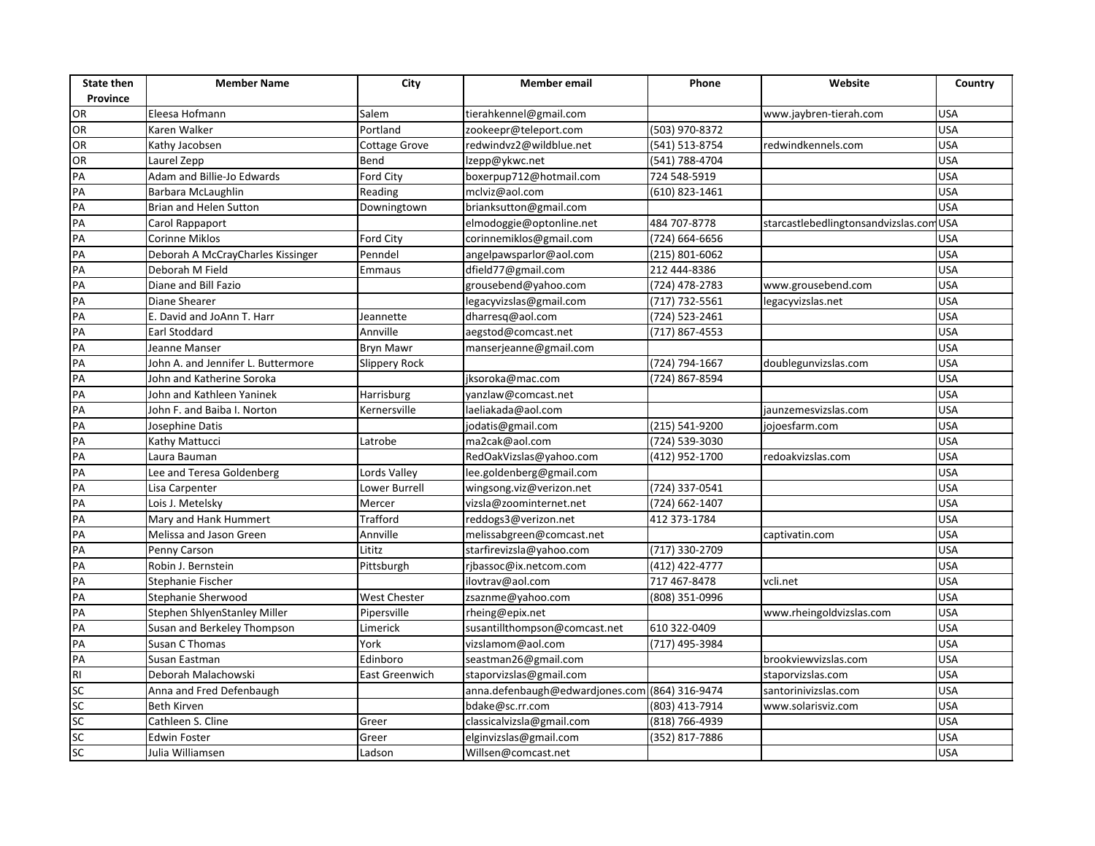| <b>State then</b><br>Province | <b>Member Name</b>                 | City                | <b>Member</b> email                              | Phone              | Website                                 | Country    |
|-------------------------------|------------------------------------|---------------------|--------------------------------------------------|--------------------|-----------------------------------------|------------|
| OR                            |                                    | Salem               | tierahkennel@gmail.com                           |                    |                                         | <b>USA</b> |
| OR                            | Eleesa Hofmann<br>Karen Walker     | Portland            |                                                  | $(503)$ 970-8372   | www.jaybren-tierah.com                  | <b>USA</b> |
| OR                            | Kathy Jacobsen                     | Cottage Grove       | zookeepr@teleport.com<br>redwindvz2@wildblue.net | $(541) 513 - 8754$ |                                         | <b>USA</b> |
| OR                            | Laurel Zepp                        | Bend                | lzepp@ykwc.net                                   | (541) 788-4704     | redwindkennels.com                      | <b>USA</b> |
| PA                            | Adam and Billie-Jo Edwards         | Ford City           | boxerpup712@hotmail.com                          | 724 548-5919       |                                         | <b>USA</b> |
| PA                            | Barbara McLaughlin                 | Reading             | mclviz@aol.com                                   | (610) 823-1461     |                                         | <b>USA</b> |
| PA                            | Brian and Helen Sutton             |                     |                                                  |                    |                                         | <b>USA</b> |
| PA                            |                                    | Downingtown         | brianksutton@gmail.com                           | 484 707-8778       |                                         |            |
| PA                            | Carol Rappaport<br>Corinne Miklos  |                     | elmodoggie@optonline.net                         |                    | starcastlebedlingtonsandvizslas.com USA | <b>USA</b> |
|                               |                                    | Ford City           | corinnemiklos@gmail.com                          | (724) 664-6656     |                                         |            |
| PA                            | Deborah A McCrayCharles Kissinger  | Penndel             | angelpawsparlor@aol.com                          | (215) 801-6062     |                                         | <b>USA</b> |
| PA                            | Deborah M Field                    | Emmaus              | dfield77@gmail.com                               | 212 444-8386       |                                         | <b>USA</b> |
| PA                            | Diane and Bill Fazio               |                     | grousebend@yahoo.com                             | (724) 478-2783     | www.grousebend.com                      | <b>USA</b> |
| PA                            | Diane Shearer                      |                     | legacyvizslas@gmail.com                          | (717) 732-5561     | legacyvizslas.net                       | <b>USA</b> |
| PA                            | E. David and JoAnn T. Harr         | Jeannette           | dharresq@aol.com                                 | (724) 523-2461     |                                         | <b>USA</b> |
| PA                            | Earl Stoddard                      | Annville            | aegstod@comcast.net                              | (717) 867-4553     |                                         | <b>USA</b> |
| PA                            | Jeanne Manser                      | <b>Bryn Mawr</b>    | manserjeanne@gmail.com                           |                    |                                         | <b>USA</b> |
| PA                            | John A. and Jennifer L. Buttermore | Slippery Rock       |                                                  | (724) 794-1667     | doublegunvizslas.com                    | <b>USA</b> |
| PA                            | John and Katherine Soroka          |                     | jksoroka@mac.com                                 | (724) 867-8594     |                                         | <b>USA</b> |
| PA                            | John and Kathleen Yaninek          | Harrisburg          | yanzlaw@comcast.net                              |                    |                                         | <b>USA</b> |
| PA                            | John F. and Baiba I. Norton        | Kernersville        | laeliakada@aol.com                               |                    | jaunzemesvizslas.com                    | <b>USA</b> |
| PA                            | Josephine Datis                    |                     | jodatis@gmail.com                                | (215) 541-9200     | jojoesfarm.com                          | <b>USA</b> |
| PA                            | Kathy Mattucci                     | Latrobe             | ma2cak@aol.com                                   | (724) 539-3030     |                                         | <b>USA</b> |
| PA                            | Laura Bauman                       |                     | RedOakVizslas@yahoo.com                          | (412) 952-1700     | redoakvizslas.com                       | <b>USA</b> |
| PA                            | Lee and Teresa Goldenberg          | Lords Valley        | lee.goldenberg@gmail.com                         |                    |                                         | <b>USA</b> |
| PA                            | Lisa Carpenter                     | Lower Burrell       | wingsong.viz@verizon.net                         | (724) 337-0541     |                                         | <b>USA</b> |
| PA                            | Lois J. Metelsky                   | Mercer              | vizsla@zoominternet.net                          | (724) 662-1407     |                                         | <b>USA</b> |
| PA                            | Mary and Hank Hummert              | Trafford            | reddogs3@verizon.net                             | 412 373-1784       |                                         | <b>USA</b> |
| PA                            | Melissa and Jason Green            | Annville            | melissabgreen@comcast.net                        |                    | captivatin.com                          | <b>USA</b> |
| PA                            | Penny Carson                       | Lititz              | starfirevizsla@yahoo.com                         | (717) 330-2709     |                                         | <b>USA</b> |
| PA                            | Robin J. Bernstein                 | Pittsburgh          | rjbassoc@ix.netcom.com                           | (412) 422-4777     |                                         | <b>USA</b> |
| PA                            | Stephanie Fischer                  |                     | ilovtrav@aol.com                                 | 717 467-8478       | vcli.net                                | <b>USA</b> |
| PA                            | Stephanie Sherwood                 | <b>West Chester</b> | zsaznme@yahoo.com                                | (808) 351-0996     |                                         | <b>USA</b> |
| PA                            | Stephen ShlyenStanley Miller       | Pipersville         | rheing@epix.net                                  |                    | www.rheingoldvizslas.com                | <b>USA</b> |
| PA                            | Susan and Berkeley Thompson        | Limerick            | susantillthompson@comcast.net                    | 610 322-0409       |                                         | <b>USA</b> |
| PA                            | Susan C Thomas                     | York                | vizslamom@aol.com                                | (717) 495-3984     |                                         | <b>USA</b> |
| PA                            | Susan Eastman                      | Edinboro            | seastman26@gmail.com                             |                    | brookviewvizslas.com                    | <b>USA</b> |
| $\overline{R}$                | Deborah Malachowski                | East Greenwich      | staporvizslas@gmail.com                          |                    | staporvizslas.com                       | <b>USA</b> |
| SC                            | Anna and Fred Defenbaugh           |                     | anna.defenbaugh@edwardjones.com (864) 316-9474   |                    | santorinivizslas.com                    | <b>USA</b> |
| SC                            | <b>Beth Kirven</b>                 |                     | bdake@sc.rr.com                                  | (803) 413-7914     | www.solarisviz.com                      | <b>USA</b> |
| SC                            | Cathleen S. Cline                  | Greer               | classicalvizsla@gmail.com                        | (818) 766-4939     |                                         | <b>USA</b> |
| SC                            | <b>Edwin Foster</b>                | Greer               | elginvizslas@gmail.com                           | (352) 817-7886     |                                         | <b>USA</b> |
| SC                            | Julia Williamsen                   | Ladson              | Willsen@comcast.net                              |                    |                                         | <b>USA</b> |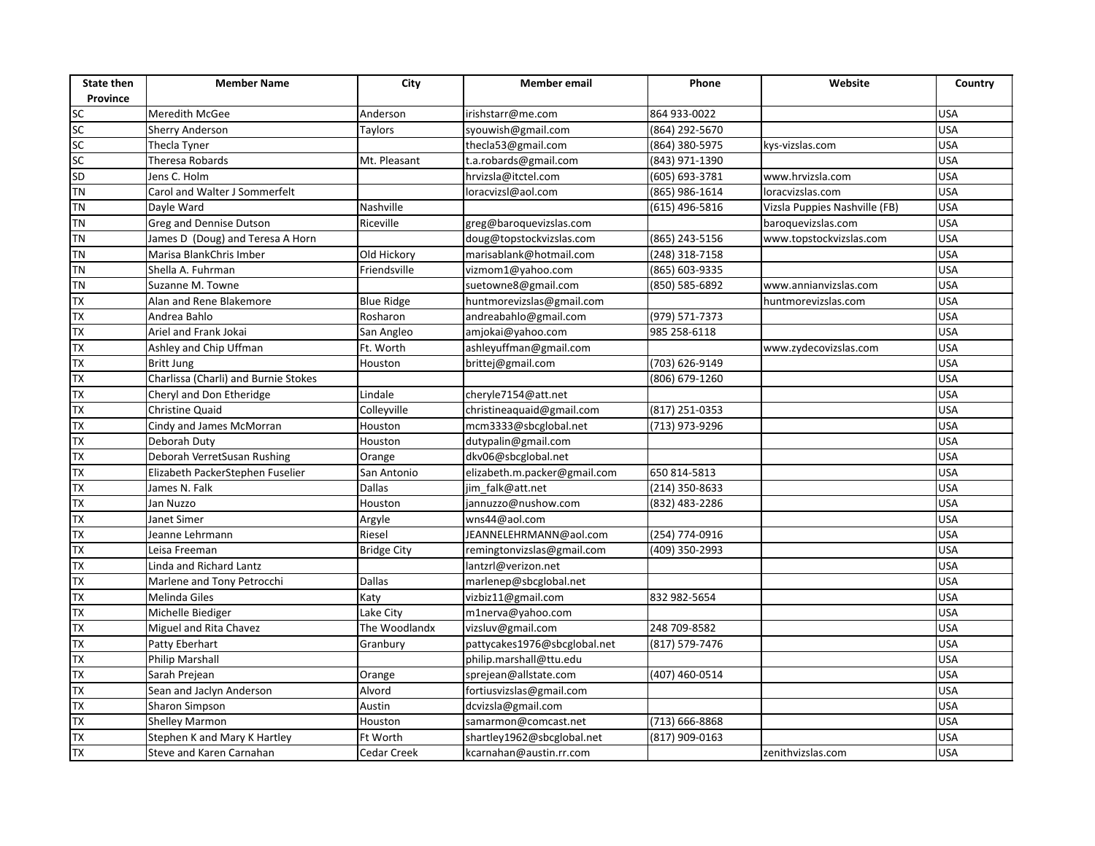| <b>State then</b><br>Province | <b>Member Name</b>                   | City               | Member email                 | Phone          | Website                       | Country    |
|-------------------------------|--------------------------------------|--------------------|------------------------------|----------------|-------------------------------|------------|
|                               | Meredith McGee                       | Anderson           | irishstarr@me.com            | 864 933-0022   |                               | <b>USA</b> |
| sc<br>sc                      | Sherry Anderson                      | Taylors            | syouwish@gmail.com           | (864) 292-5670 |                               | <b>USA</b> |
| $rac{SC}{SC}$                 | Thecla Tyner                         |                    | thecla53@gmail.com           | (864) 380-5975 | kys-vizslas.com               | <b>USA</b> |
|                               | Theresa Robards                      | Mt. Pleasant       | t.a.robards@gmail.com        | (843) 971-1390 |                               | <b>USA</b> |
| SD                            | Jens C. Holm                         |                    | hrvizsla@itctel.com          | (605) 693-3781 | www.hrvizsla.com              | <b>USA</b> |
| <b>TN</b>                     | Carol and Walter J Sommerfelt        |                    | loracvizsl@aol.com           | (865) 986-1614 | loracvizslas.com              | <b>USA</b> |
| <b>TN</b>                     | Dayle Ward                           | Nashville          |                              | (615) 496-5816 | Vizsla Puppies Nashville (FB) | <b>USA</b> |
| <b>TN</b>                     | Greg and Dennise Dutson              | Riceville          | greg@baroquevizslas.com      |                | baroquevizslas.com            | <b>USA</b> |
| <b>TN</b>                     | James D (Doug) and Teresa A Horn     |                    | doug@topstockvizslas.com     | (865) 243-5156 | www.topstockvizslas.com       | <b>USA</b> |
| <b>TN</b>                     | Marisa BlankChris Imber              | Old Hickory        | marisablank@hotmail.com      | (248) 318-7158 |                               | <b>USA</b> |
| <b>TN</b>                     | Shella A. Fuhrman                    | Friendsville       | vizmom1@yahoo.com            | (865) 603-9335 |                               | <b>USA</b> |
| <b>TN</b>                     | Suzanne M. Towne                     |                    | suetowne8@gmail.com          | (850) 585-6892 | www.annianvizslas.com         | <b>USA</b> |
| <b>TX</b>                     | Alan and Rene Blakemore              | <b>Blue Ridge</b>  | huntmorevizslas@gmail.com    |                | huntmorevizslas.com           | <b>USA</b> |
| $\overline{X}$                | Andrea Bahlo                         | Rosharon           | andreabahlo@gmail.com        | (979) 571-7373 |                               | <b>USA</b> |
| TX                            | Ariel and Frank Jokai                | San Angleo         | amjokai@yahoo.com            | 985 258-6118   |                               | <b>USA</b> |
| TX                            | Ashley and Chip Uffman               | Ft. Worth          | ashleyuffman@gmail.com       |                | www.zydecovizslas.com         | <b>USA</b> |
| <b>TX</b>                     | <b>Britt Jung</b>                    | Houston            | brittej@gmail.com            | (703) 626-9149 |                               | <b>USA</b> |
| <b>TX</b>                     | Charlissa (Charli) and Burnie Stokes |                    |                              | (806) 679-1260 |                               | <b>USA</b> |
| TX                            | Cheryl and Don Etheridge             | Lindale            | cheryle7154@att.net          |                |                               | <b>USA</b> |
| TX                            | <b>Christine Quaid</b>               | Colleyville        | christineaquaid@gmail.com    | (817) 251-0353 |                               | <b>USA</b> |
| TX                            | Cindy and James McMorran             | Houston            | mcm3333@sbcglobal.net        | (713) 973-9296 |                               | <b>USA</b> |
| TX                            | Deborah Duty                         | Houston            | dutypalin@gmail.com          |                |                               | <b>USA</b> |
| TX                            | Deborah VerretSusan Rushing          | Orange             | dkv06@sbcglobal.net          |                |                               | <b>USA</b> |
| <b>TX</b>                     | Elizabeth PackerStephen Fuselier     | San Antonio        | elizabeth.m.packer@gmail.com | 650 814-5813   |                               | <b>USA</b> |
| <b>TX</b>                     | James N. Falk                        | <b>Dallas</b>      | jim falk@att.net             | (214) 350-8633 |                               | <b>USA</b> |
| <b>TX</b>                     | Jan Nuzzo                            | Houston            | jannuzzo@nushow.com          | (832) 483-2286 |                               | <b>USA</b> |
| <b>TX</b>                     | Janet Simer                          | Argyle             | wns44@aol.com                |                |                               | <b>USA</b> |
| <b>TX</b>                     | Jeanne Lehrmann                      | Riesel             | JEANNELEHRMANN@aol.com       | (254) 774-0916 |                               | <b>USA</b> |
| $\overline{\mathsf{TX}}$      | Leisa Freeman                        | <b>Bridge City</b> | remingtonvizslas@gmail.com   | (409) 350-2993 |                               | <b>USA</b> |
| <b>TX</b>                     | Linda and Richard Lantz              |                    | lantzrl@verizon.net          |                |                               | <b>USA</b> |
| TX                            | Marlene and Tony Petrocchi           | <b>Dallas</b>      | marlenep@sbcglobal.net       |                |                               | <b>USA</b> |
| TX                            | Melinda Giles                        | Katy               | vizbiz11@gmail.com           | 832 982-5654   |                               | <b>USA</b> |
| <b>TX</b>                     | Michelle Biediger                    | Lake City          | m1nerva@yahoo.com            |                |                               | <b>USA</b> |
| TX                            | Miguel and Rita Chavez               | The Woodlandx      | vizsluv@gmail.com            | 248 709-8582   |                               | <b>USA</b> |
| <b>TX</b>                     | Patty Eberhart                       | Granbury           | pattycakes1976@sbcglobal.net | (817) 579-7476 |                               | <b>USA</b> |
| <b>TX</b>                     | <b>Philip Marshall</b>               |                    | philip.marshall@ttu.edu      |                |                               | <b>USA</b> |
| <b>TX</b>                     | Sarah Prejean                        | Orange             | sprejean@allstate.com        | (407) 460-0514 |                               | <b>USA</b> |
| <b>TX</b>                     | Sean and Jaclyn Anderson             | Alvord             | fortiusvizslas@gmail.com     |                |                               | <b>USA</b> |
| <b>TX</b>                     | <b>Sharon Simpson</b>                | Austin             | dcvizsla@gmail.com           |                |                               | <b>USA</b> |
| <b>TX</b>                     | Shelley Marmon                       | Houston            | samarmon@comcast.net         | (713) 666-8868 |                               | <b>USA</b> |
| K                             | Stephen K and Mary K Hartley         | Ft Worth           | shartley1962@sbcglobal.net   | (817) 909-0163 |                               | <b>USA</b> |
| $\overline{\mathsf{TX}}$      | Steve and Karen Carnahan             | <b>Cedar Creek</b> | kcarnahan@austin.rr.com      |                | zenithvizslas.com             | <b>USA</b> |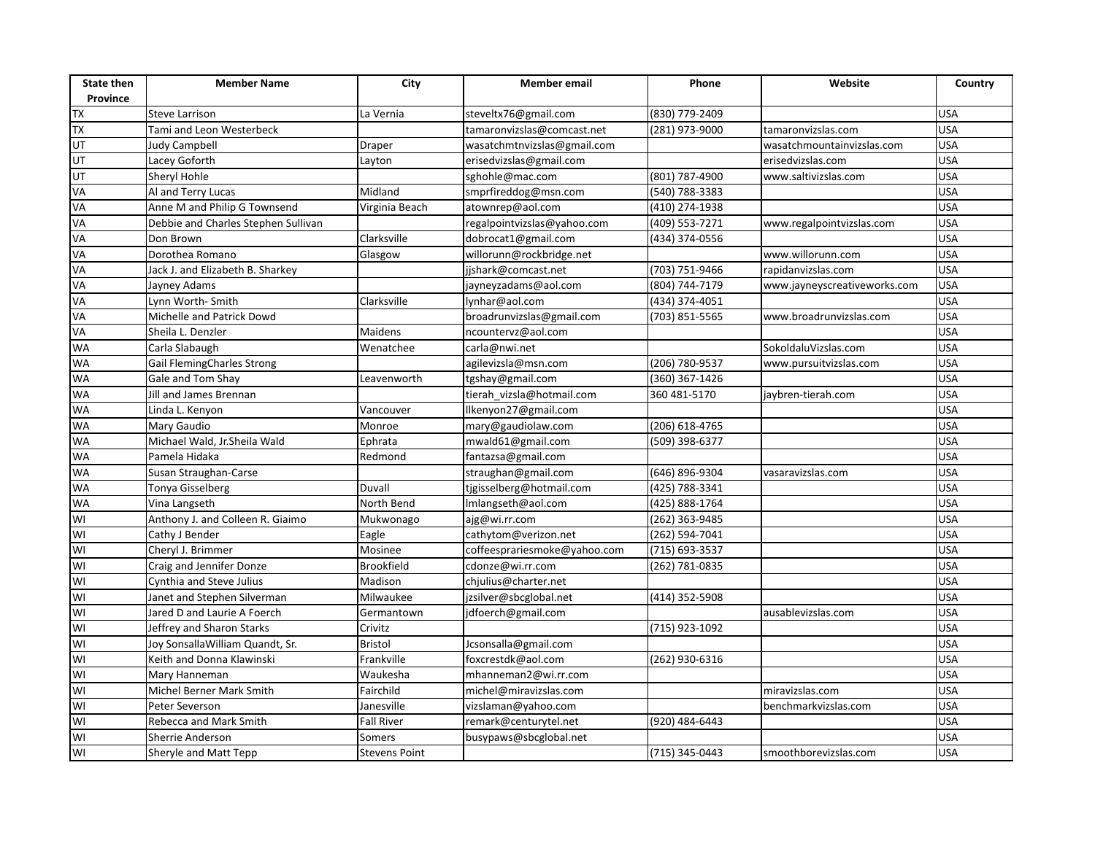| <b>State then</b><br>Province | <b>Member Name</b>                  | City                 | <b>Member</b> email          | Phone            | Website                      | Country    |
|-------------------------------|-------------------------------------|----------------------|------------------------------|------------------|------------------------------|------------|
| <b>TX</b>                     | <b>Steve Larrison</b>               | La Vernia            | steveltx76@gmail.com         | (830) 779-2409   |                              | <b>USA</b> |
| <b>TX</b>                     | Tami and Leon Westerbeck            |                      | tamaronvizslas@comcast.net   | (281) 973-9000   | tamaronvizslas.com           | <b>USA</b> |
| UT                            | Judy Campbell                       | <b>Draper</b>        | wasatchmtnvizslas@gmail.com  |                  | wasatchmountainvizslas.com   | <b>USA</b> |
| UT                            | Lacey Goforth                       | Layton               | erisedvizslas@gmail.com      |                  | erisedvizslas.com            | <b>USA</b> |
| <b>TD</b>                     | Sheryl Hohle                        |                      | sghohle@mac.com              | (801) 787-4900   | www.saltivizslas.com         | <b>USA</b> |
| VA                            | Al and Terry Lucas                  | Midland              | smprfireddog@msn.com         | (540) 788-3383   |                              | <b>USA</b> |
| VA                            | Anne M and Philip G Townsend        | Virginia Beach       | atownrep@aol.com             | (410) 274-1938   |                              | <b>USA</b> |
| VA                            | Debbie and Charles Stephen Sullivan |                      | regalpointvizslas@yahoo.com  | (409) 553-7271   | www.regalpointvizslas.com    | <b>USA</b> |
| VA                            | Don Brown                           | Clarksville          | dobrocat1@gmail.com          | (434) 374-0556   |                              | <b>USA</b> |
| VA                            | Dorothea Romano                     | Glasgow              | willorunn@rockbridge.net     |                  | www.willorunn.com            | <b>USA</b> |
| VA                            | Jack J. and Elizabeth B. Sharkey    |                      | jjshark@comcast.net          | (703) 751-9466   | rapidanvizslas.com           | <b>USA</b> |
| VA                            | Jayney Adams                        |                      | jayneyzadams@aol.com         | (804) 744-7179   | www.jayneyscreativeworks.com | <b>USA</b> |
| VA                            | Lynn Worth-Smith                    | Clarksville          | lynhar@aol.com               | (434) 374-4051   |                              | <b>USA</b> |
| VA                            | Michelle and Patrick Dowd           |                      | broadrunvizslas@gmail.com    | (703) 851-5565   | www.broadrunvizslas.com      | <b>USA</b> |
| VA                            | Sheila L. Denzler                   | <b>Maidens</b>       | ncountervz@aol.com           |                  |                              | <b>USA</b> |
| <b>WA</b>                     | Carla Slabaugh                      | Wenatchee            | carla@nwi.net                |                  | SokoldaluVizslas.com         | <b>USA</b> |
| <b>WA</b>                     | Gail FlemingCharles Strong          |                      | agilevizsla@msn.com          | (206) 780-9537   | www.pursuitvizslas.com       | <b>USA</b> |
| <b>WA</b>                     | Gale and Tom Shay                   | Leavenworth          | tgshay@gmail.com             | (360) 367-1426   |                              | <b>USA</b> |
| <b>WA</b>                     | Jill and James Brennan              |                      | tierah_vizsla@hotmail.com    | 360 481-5170     | jaybren-tierah.com           | <b>USA</b> |
| <b>WA</b>                     | Linda L. Kenyon                     | Vancouver            | llkenyon27@gmail.com         |                  |                              | <b>USA</b> |
| <b>WA</b>                     | Mary Gaudio                         | Monroe               | mary@gaudiolaw.com           | (206) 618-4765   |                              | <b>USA</b> |
| <b>WA</b>                     | Michael Wald, Jr.Sheila Wald        | Ephrata              | mwald61@gmail.com            | (509) 398-6377   |                              | <b>USA</b> |
| <b>WA</b>                     | Pamela Hidaka                       | Redmond              | fantazsa@gmail.com           |                  |                              | <b>USA</b> |
| <b>WA</b>                     | Susan Straughan-Carse               |                      | straughan@gmail.com          | (646) 896-9304   | vasaravizslas.com            | <b>USA</b> |
| <b>WA</b>                     | Tonya Gisselberg                    | <b>Duvall</b>        | tjgisselberg@hotmail.com     | (425) 788-3341   |                              | <b>USA</b> |
| <b>WA</b>                     | Vina Langseth                       | North Bend           | Imlangseth@aol.com           | (425) 888-1764   |                              | <b>USA</b> |
| WI                            | Anthony J. and Colleen R. Giaimo    | Mukwonago            | ajg@wi.rr.com                | $(262)$ 363-9485 |                              | <b>USA</b> |
| WI                            | Cathy J Bender                      | Eagle                | cathytom@verizon.net         | (262) 594-7041   |                              | <b>USA</b> |
| WI                            | Cheryl J. Brimmer                   | Mosinee              | coffeesprariesmoke@yahoo.com | (715) 693-3537   |                              | <b>USA</b> |
| WI                            | Craig and Jennifer Donze            | <b>Brookfield</b>    | cdonze@wi.rr.com             | (262) 781-0835   |                              | <b>USA</b> |
| $\overline{\mathsf{z}}$       | Cynthia and Steve Julius            | Madison              | chjulius@charter.net         |                  |                              | <b>USA</b> |
| WI                            | Janet and Stephen Silverman         | Milwaukee            | jzsilver@sbcglobal.net       | (414) 352-5908   |                              | <b>USA</b> |
| WI                            | Jared D and Laurie A Foerch         | Germantown           | jdfoerch@gmail.com           |                  | ausablevizslas.com           | <b>USA</b> |
| WI                            | Jeffrey and Sharon Starks           | Crivitz              |                              | (715) 923-1092   |                              | <b>USA</b> |
| WI                            | Joy SonsallaWilliam Quandt, Sr.     | <b>Bristol</b>       | Jcsonsalla@gmail.com         |                  |                              | <b>USA</b> |
| WI                            | Keith and Donna Klawinski           | Frankville           | foxcrestdk@aol.com           | (262) 930-6316   |                              | <b>USA</b> |
| $\overline{\mathsf{M}}$       | Mary Hanneman                       | Waukesha             | mhanneman2@wi.rr.com         |                  |                              | <b>USA</b> |
| WI                            | Michel Berner Mark Smith            | Fairchild            | michel@miravizslas.com       |                  | miravizslas.com              | <b>USA</b> |
| $\overline{\mathsf{W}}$       | Peter Severson                      | Janesville           | vizslaman@yahoo.com          |                  | benchmarkvizslas.com         | <b>USA</b> |
| $\overline{\mathsf{z}}$       | <b>Rebecca and Mark Smith</b>       | <b>Fall River</b>    | remark@centurytel.net        | (920) 484-6443   |                              | <b>USA</b> |
| WI                            | Sherrie Anderson                    | Somers               | busypaws@sbcglobal.net       |                  |                              | <b>USA</b> |
| WI                            | Sheryle and Matt Tepp               | <b>Stevens Point</b> |                              | (715) 345-0443   | smoothborevizslas.com        | <b>USA</b> |